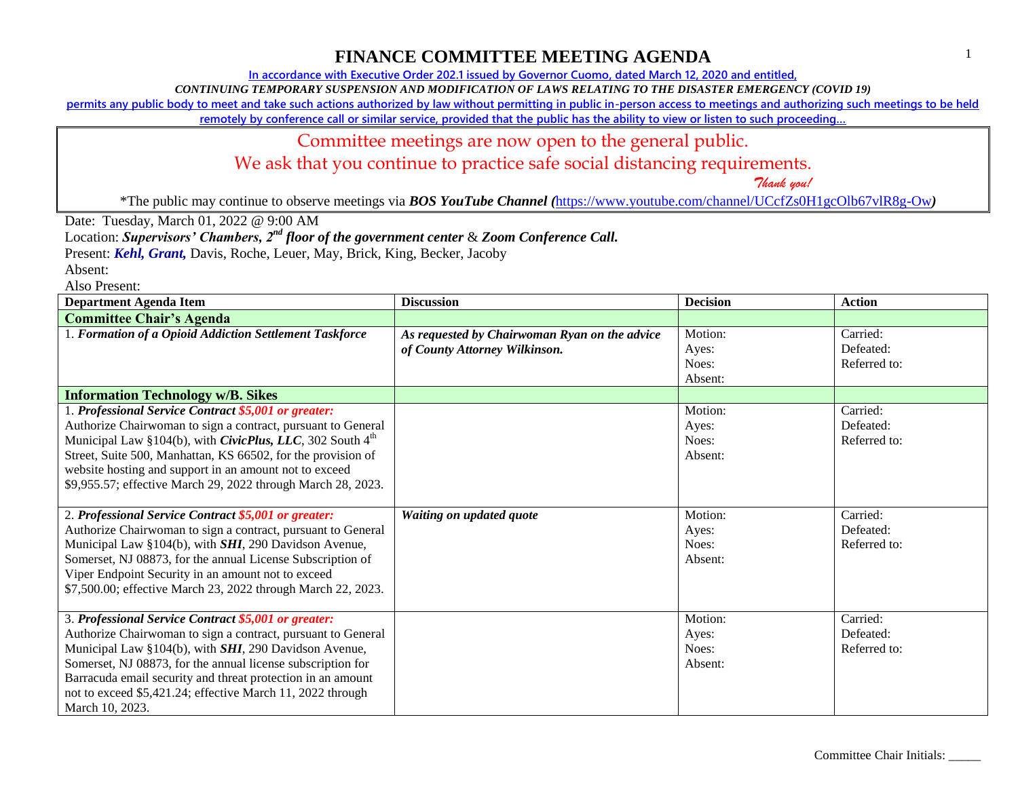**In accordance with Executive Order 202.1 issued by Governor Cuomo, dated March 12, 2020 and entitled,**

*CONTINUING TEMPORARY SUSPENSION AND MODIFICATION OF LAWS RELATING TO THE DISASTER EMERGENCY (COVID 19)*

**permits any public body to meet and take such actions authorized by law without permitting in public in-person access to meetings and authorizing such meetings to be held** 

**remotely by conference call or similar service, provided that the public has the ability to view or listen to such proceeding…**

### Committee meetings are now open to the general public.

We ask that you continue to practice safe social distancing requirements.

 *Thank you!*

\*The public may continue to observe meetings via *BOS YouTube Channel (*<https://www.youtube.com/channel/UCcfZs0H1gcOlb67vlR8g-Ow>*)*

Date: Tuesday, March 01, 2022 @ 9:00 AM

Location: *Supervisors' Chambers, 2nd floor of the government center* & *Zoom Conference Call.*

Present: *Kehl, Grant,* Davis, Roche, Leuer, May, Brick, King, Becker, Jacoby

Absent:

| <b>Department Agenda Item</b>                                                                                                                                                                                                                                                                                                                                                                 | <b>Discussion</b>                                                              | <b>Decision</b>                      | <b>Action</b>                         |
|-----------------------------------------------------------------------------------------------------------------------------------------------------------------------------------------------------------------------------------------------------------------------------------------------------------------------------------------------------------------------------------------------|--------------------------------------------------------------------------------|--------------------------------------|---------------------------------------|
| <b>Committee Chair's Agenda</b>                                                                                                                                                                                                                                                                                                                                                               |                                                                                |                                      |                                       |
| 1. Formation of a Opioid Addiction Settlement Taskforce                                                                                                                                                                                                                                                                                                                                       | As requested by Chairwoman Ryan on the advice<br>of County Attorney Wilkinson. | Motion:<br>Ayes:<br>Noes:<br>Absent: | Carried:<br>Defeated:<br>Referred to: |
| <b>Information Technology w/B. Sikes</b>                                                                                                                                                                                                                                                                                                                                                      |                                                                                |                                      |                                       |
| 1. Professional Service Contract \$5,001 or greater:<br>Authorize Chairwoman to sign a contract, pursuant to General<br>Municipal Law §104(b), with <i>CivicPlus</i> , <i>LLC</i> , 302 South $4th$<br>Street, Suite 500, Manhattan, KS 66502, for the provision of<br>website hosting and support in an amount not to exceed<br>\$9,955.57; effective March 29, 2022 through March 28, 2023. |                                                                                | Motion:<br>Ayes:<br>Noes:<br>Absent: | Carried:<br>Defeated:<br>Referred to: |
| 2. Professional Service Contract \$5,001 or greater:<br>Authorize Chairwoman to sign a contract, pursuant to General<br>Municipal Law §104(b), with SHI, 290 Davidson Avenue,<br>Somerset, NJ 08873, for the annual License Subscription of<br>Viper Endpoint Security in an amount not to exceed<br>\$7,500.00; effective March 23, 2022 through March 22, 2023.                             | Waiting on updated quote                                                       | Motion:<br>Ayes:<br>Noes:<br>Absent: | Carried:<br>Defeated:<br>Referred to: |
| 3. Professional Service Contract \$5,001 or greater:<br>Authorize Chairwoman to sign a contract, pursuant to General<br>Municipal Law §104(b), with SHI, 290 Davidson Avenue,<br>Somerset, NJ 08873, for the annual license subscription for<br>Barracuda email security and threat protection in an amount<br>not to exceed \$5,421.24; effective March 11, 2022 through<br>March 10, 2023.  |                                                                                | Motion:<br>Ayes:<br>Noes:<br>Absent: | Carried:<br>Defeated:<br>Referred to: |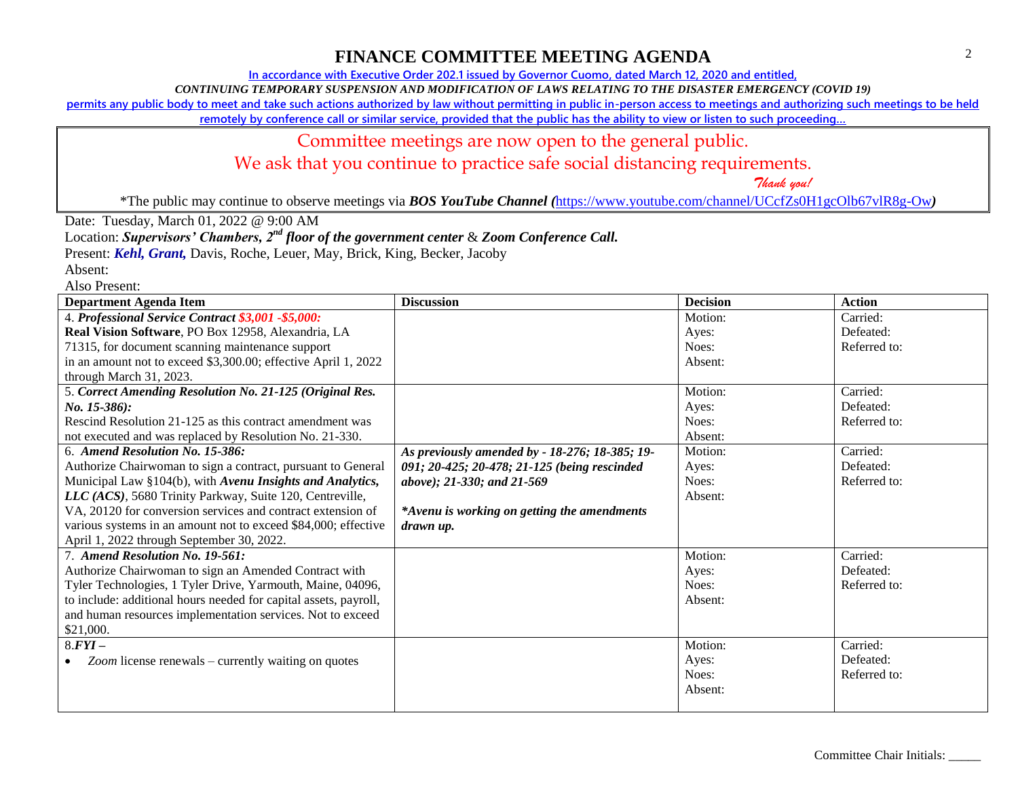**In accordance with Executive Order 202.1 issued by Governor Cuomo, dated March 12, 2020 and entitled,**

*CONTINUING TEMPORARY SUSPENSION AND MODIFICATION OF LAWS RELATING TO THE DISASTER EMERGENCY (COVID 19)*

**permits any public body to meet and take such actions authorized by law without permitting in public in-person access to meetings and authorizing such meetings to be held** 

**remotely by conference call or similar service, provided that the public has the ability to view or listen to such proceeding…**

### Committee meetings are now open to the general public.

We ask that you continue to practice safe social distancing requirements.

 *Thank you!*

\*The public may continue to observe meetings via *BOS YouTube Channel (*<https://www.youtube.com/channel/UCcfZs0H1gcOlb67vlR8g-Ow>*)*

Date: Tuesday, March 01, 2022 @ 9:00 AM

Location: *Supervisors' Chambers, 2nd floor of the government center* & *Zoom Conference Call.*

Present: *Kehl, Grant,* Davis, Roche, Leuer, May, Brick, King, Becker, Jacoby

Absent:

| <b>Department Agenda Item</b>                                    | <b>Discussion</b>                              | <b>Decision</b> | <b>Action</b> |
|------------------------------------------------------------------|------------------------------------------------|-----------------|---------------|
| 4. Professional Service Contract \$3,001 -\$5,000:               |                                                | Motion:         | Carried:      |
| Real Vision Software, PO Box 12958, Alexandria, LA               |                                                | Ayes:           | Defeated:     |
| 71315, for document scanning maintenance support                 |                                                | Noes:           | Referred to:  |
| in an amount not to exceed \$3,300.00; effective April 1, 2022   |                                                | Absent:         |               |
| through March 31, 2023.                                          |                                                |                 |               |
| 5. Correct Amending Resolution No. 21-125 (Original Res.         |                                                | Motion:         | Carried:      |
| $No. 15-386$ :                                                   |                                                | Ayes:           | Defeated:     |
| Rescind Resolution 21-125 as this contract amendment was         |                                                | Noes:           | Referred to:  |
| not executed and was replaced by Resolution No. 21-330.          |                                                | Absent:         |               |
| 6. Amend Resolution No. 15-386:                                  | As previously amended by - 18-276; 18-385; 19- | Motion:         | Carried:      |
| Authorize Chairwoman to sign a contract, pursuant to General     | 091; 20-425; 20-478; 21-125 (being rescinded   | Ayes:           | Defeated:     |
| Municipal Law §104(b), with Avenu Insights and Analytics,        | above); 21-330; and 21-569                     | Noes:           | Referred to:  |
| LLC (ACS), 5680 Trinity Parkway, Suite 120, Centreville,         |                                                | Absent:         |               |
| VA, 20120 for conversion services and contract extension of      | *Avenu is working on getting the amendments    |                 |               |
| various systems in an amount not to exceed \$84,000; effective   | drawn up.                                      |                 |               |
| April 1, 2022 through September 30, 2022.                        |                                                |                 |               |
| 7. Amend Resolution No. 19-561:                                  |                                                | Motion:         | Carried:      |
| Authorize Chairwoman to sign an Amended Contract with            |                                                | Ayes:           | Defeated:     |
| Tyler Technologies, 1 Tyler Drive, Yarmouth, Maine, 04096,       |                                                | Noes:           | Referred to:  |
| to include: additional hours needed for capital assets, payroll, |                                                | Absent:         |               |
| and human resources implementation services. Not to exceed       |                                                |                 |               |
| \$21,000.                                                        |                                                |                 |               |
| $8.FYI -$                                                        |                                                | Motion:         | Carried:      |
| Zoom license renewals – currently waiting on quotes              |                                                | Ayes:           | Defeated:     |
|                                                                  |                                                | Noes:           | Referred to:  |
|                                                                  |                                                | Absent:         |               |
|                                                                  |                                                |                 |               |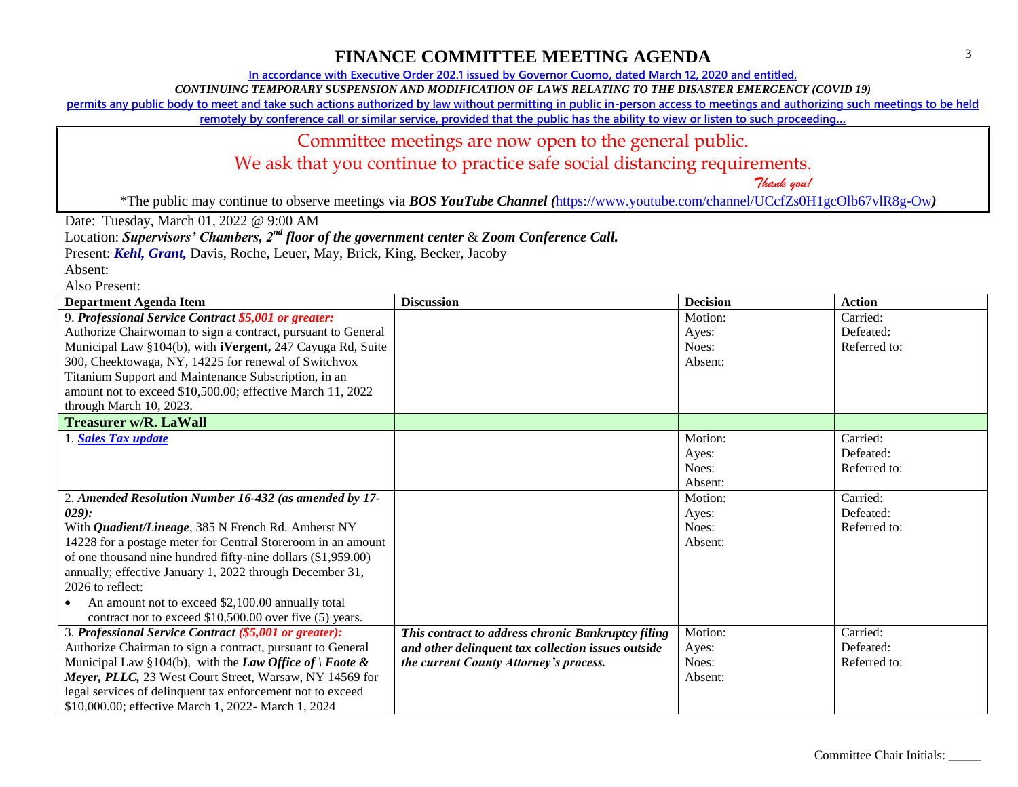**In accordance with Executive Order 202.1 issued by Governor Cuomo, dated March 12, 2020 and entitled,**

*CONTINUING TEMPORARY SUSPENSION AND MODIFICATION OF LAWS RELATING TO THE DISASTER EMERGENCY (COVID 19)*

**permits any public body to meet and take such actions authorized by law without permitting in public in-person access to meetings and authorizing such meetings to be held** 

**remotely by conference call or similar service, provided that the public has the ability to view or listen to such proceeding…**

### Committee meetings are now open to the general public.

We ask that you continue to practice safe social distancing requirements.

 *Thank you!*

\*The public may continue to observe meetings via *BOS YouTube Channel (*<https://www.youtube.com/channel/UCcfZs0H1gcOlb67vlR8g-Ow>*)*

Date: Tuesday, March 01, 2022 @ 9:00 AM

Location: *Supervisors' Chambers, 2nd floor of the government center* & *Zoom Conference Call.*

Present: *Kehl, Grant,* Davis, Roche, Leuer, May, Brick, King, Becker, Jacoby

Absent:

| <b>Department Agenda Item</b>                                      | <b>Discussion</b>                                  | <b>Decision</b> | <b>Action</b> |
|--------------------------------------------------------------------|----------------------------------------------------|-----------------|---------------|
| 9. Professional Service Contract \$5,001 or greater:               |                                                    | Motion:         | Carried:      |
| Authorize Chairwoman to sign a contract, pursuant to General       |                                                    | Ayes:           | Defeated:     |
| Municipal Law §104(b), with <b>iVergent</b> , 247 Cayuga Rd, Suite |                                                    | Noes:           | Referred to:  |
| 300, Cheektowaga, NY, 14225 for renewal of Switchvox               |                                                    | Absent:         |               |
| Titanium Support and Maintenance Subscription, in an               |                                                    |                 |               |
| amount not to exceed \$10,500.00; effective March 11, 2022         |                                                    |                 |               |
| through March 10, 2023.                                            |                                                    |                 |               |
| <b>Treasurer w/R. LaWall</b>                                       |                                                    |                 |               |
| 1. Sales Tax update                                                |                                                    | Motion:         | Carried:      |
|                                                                    |                                                    | Ayes:           | Defeated:     |
|                                                                    |                                                    | Noes:           | Referred to:  |
|                                                                    |                                                    | Absent:         |               |
| 2. Amended Resolution Number 16-432 (as amended by 17-             |                                                    | Motion:         | Carried:      |
| $(029)$ :                                                          |                                                    | Ayes:           | Defeated:     |
| With <i>Quadient/Lineage</i> , 385 N French Rd. Amherst NY         |                                                    | Noes:           | Referred to:  |
| 14228 for a postage meter for Central Storeroom in an amount       |                                                    | Absent:         |               |
| of one thousand nine hundred fifty-nine dollars (\$1,959.00)       |                                                    |                 |               |
| annually; effective January 1, 2022 through December 31,           |                                                    |                 |               |
| 2026 to reflect:                                                   |                                                    |                 |               |
| An amount not to exceed \$2,100.00 annually total                  |                                                    |                 |               |
| contract not to exceed \$10,500.00 over five (5) years.            |                                                    |                 |               |
| 3. Professional Service Contract (\$5,001 or greater):             | This contract to address chronic Bankruptcy filing | Motion:         | Carried:      |
| Authorize Chairman to sign a contract, pursuant to General         | and other delinquent tax collection issues outside | Ayes:           | Defeated:     |
| Municipal Law §104(b), with the Law Office of $\vert$ Foote &      | the current County Attorney's process.             | Noes:           | Referred to:  |
| Meyer, PLLC, 23 West Court Street, Warsaw, NY 14569 for            |                                                    | Absent:         |               |
| legal services of delinquent tax enforcement not to exceed         |                                                    |                 |               |
| \$10,000.00; effective March 1, 2022- March 1, 2024                |                                                    |                 |               |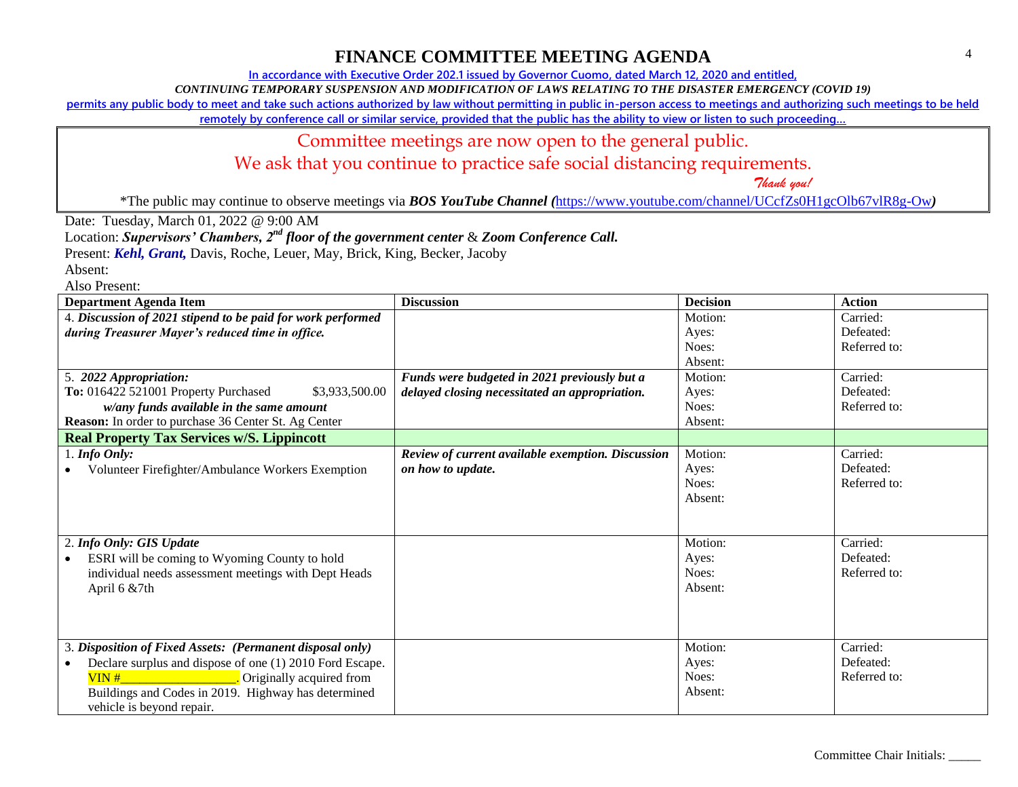**In accordance with Executive Order 202.1 issued by Governor Cuomo, dated March 12, 2020 and entitled,**

*CONTINUING TEMPORARY SUSPENSION AND MODIFICATION OF LAWS RELATING TO THE DISASTER EMERGENCY (COVID 19)*

**permits any public body to meet and take such actions authorized by law without permitting in public in-person access to meetings and authorizing such meetings to be held** 

**remotely by conference call or similar service, provided that the public has the ability to view or listen to such proceeding…**

### Committee meetings are now open to the general public.

We ask that you continue to practice safe social distancing requirements.

 *Thank you!*

\*The public may continue to observe meetings via *BOS YouTube Channel (*<https://www.youtube.com/channel/UCcfZs0H1gcOlb67vlR8g-Ow>*)*

Date: Tuesday, March 01, 2022 @ 9:00 AM

Location: *Supervisors' Chambers, 2nd floor of the government center* & *Zoom Conference Call.*

Present: *Kehl, Grant,* Davis, Roche, Leuer, May, Brick, King, Becker, Jacoby

Absent:

| <b>Department Agenda Item</b>                               | <b>Discussion</b>                                 | <b>Decision</b> | <b>Action</b> |
|-------------------------------------------------------------|---------------------------------------------------|-----------------|---------------|
| 4. Discussion of 2021 stipend to be paid for work performed |                                                   | Motion:         | Carried:      |
| during Treasurer Mayer's reduced time in office.            |                                                   | Ayes:           | Defeated:     |
|                                                             |                                                   | Noes:           | Referred to:  |
|                                                             |                                                   | Absent:         |               |
| 5. 2022 Appropriation:                                      | Funds were budgeted in 2021 previously but a      | Motion:         | Carried:      |
| To: 016422 521001 Property Purchased<br>\$3,933,500.00      | delayed closing necessitated an appropriation.    | Ayes:           | Defeated:     |
| w/any funds available in the same amount                    |                                                   | Noes:           | Referred to:  |
| Reason: In order to purchase 36 Center St. Ag Center        |                                                   | Absent:         |               |
| <b>Real Property Tax Services w/S. Lippincott</b>           |                                                   |                 |               |
| $1.$ Info Only:                                             | Review of current available exemption. Discussion | Motion:         | Carried:      |
| Volunteer Firefighter/Ambulance Workers Exemption           | on how to update.                                 | Ayes:           | Defeated:     |
|                                                             |                                                   | Noes:           | Referred to:  |
|                                                             |                                                   | Absent:         |               |
|                                                             |                                                   |                 |               |
|                                                             |                                                   |                 |               |
| 2. Info Only: GIS Update                                    |                                                   | Motion:         | Carried:      |
| ESRI will be coming to Wyoming County to hold               |                                                   | Ayes:           | Defeated:     |
| individual needs assessment meetings with Dept Heads        |                                                   | Noes:           | Referred to:  |
| April $6 & 7th$                                             |                                                   | Absent:         |               |
|                                                             |                                                   |                 |               |
|                                                             |                                                   |                 |               |
|                                                             |                                                   |                 |               |
| 3. Disposition of Fixed Assets: (Permanent disposal only)   |                                                   | Motion:         | Carried:      |
| Declare surplus and dispose of one (1) 2010 Ford Escape.    |                                                   | Ayes:           | Defeated:     |
| $VIN#$ and $VIN$ and $VIN$<br>Originally acquired from      |                                                   | Noes:           | Referred to:  |
| Buildings and Codes in 2019. Highway has determined         |                                                   | Absent:         |               |
| vehicle is beyond repair.                                   |                                                   |                 |               |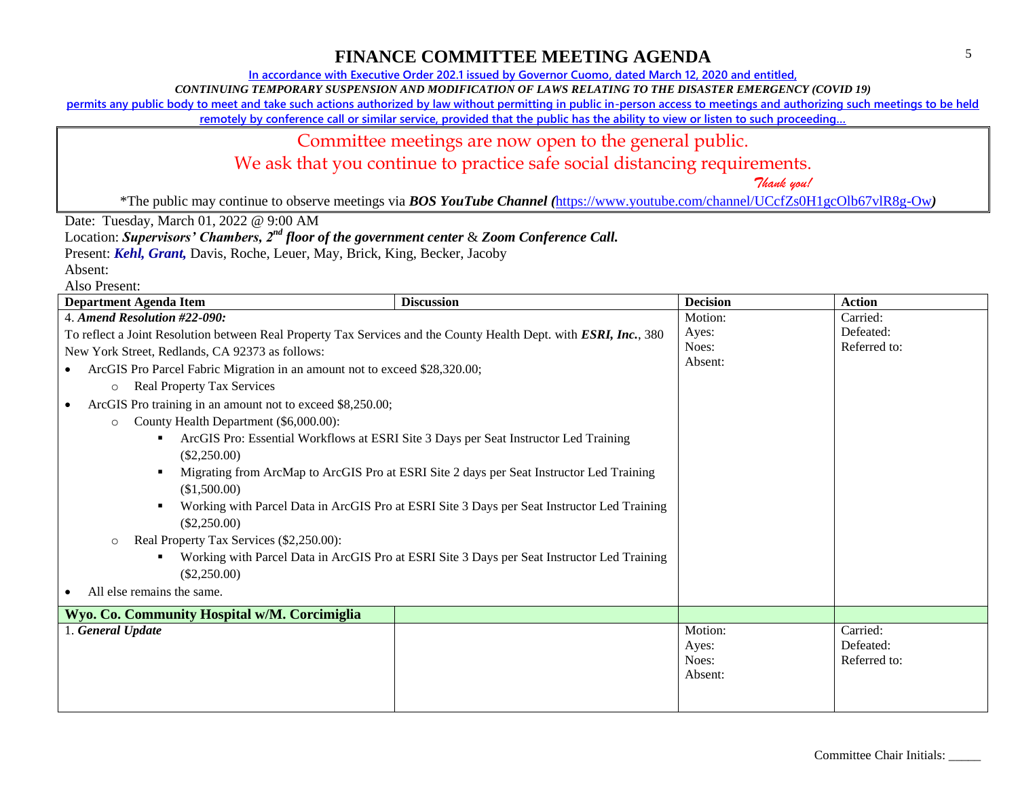**In accordance with Executive Order 202.1 issued by Governor Cuomo, dated March 12, 2020 and entitled,**

*CONTINUING TEMPORARY SUSPENSION AND MODIFICATION OF LAWS RELATING TO THE DISASTER EMERGENCY (COVID 19)*

**permits any public body to meet and take such actions authorized by law without permitting in public in-person access to meetings and authorizing such meetings to be held** 

**remotely by conference call or similar service, provided that the public has the ability to view or listen to such proceeding…**

#### Committee meetings are now open to the general public.

We ask that you continue to practice safe social distancing requirements.

 *Thank you!*

\*The public may continue to observe meetings via *BOS YouTube Channel (*<https://www.youtube.com/channel/UCcfZs0H1gcOlb67vlR8g-Ow>*)*

Date: Tuesday, March 01, 2022 @ 9:00 AM

Location: *Supervisors' Chambers, 2nd floor of the government center* & *Zoom Conference Call.*

Present: *Kehl, Grant,* Davis, Roche, Leuer, May, Brick, King, Becker, Jacoby

Absent:

| <b>Department Agenda Item</b>                                                                                     | <b>Discussion</b>                                                                           | <b>Decision</b>                      | <b>Action</b>                         |
|-------------------------------------------------------------------------------------------------------------------|---------------------------------------------------------------------------------------------|--------------------------------------|---------------------------------------|
| 4. Amend Resolution #22-090:                                                                                      |                                                                                             | Motion:                              | Carried:                              |
| To reflect a Joint Resolution between Real Property Tax Services and the County Health Dept. with ESRI, Inc., 380 |                                                                                             | Ayes:                                | Defeated:                             |
| New York Street, Redlands, CA 92373 as follows:                                                                   |                                                                                             | Noes:                                | Referred to:                          |
| ArcGIS Pro Parcel Fabric Migration in an amount not to exceed \$28,320.00;                                        |                                                                                             | Absent:                              |                                       |
| <b>Real Property Tax Services</b><br>$\circ$                                                                      |                                                                                             |                                      |                                       |
| ArcGIS Pro training in an amount not to exceed \$8,250.00;                                                        |                                                                                             |                                      |                                       |
| County Health Department (\$6,000.00):<br>$\circ$                                                                 |                                                                                             |                                      |                                       |
| ٠<br>$(\$2,250.00)$                                                                                               | ArcGIS Pro: Essential Workflows at ESRI Site 3 Days per Seat Instructor Led Training        |                                      |                                       |
| (\$1,500.00)                                                                                                      | Migrating from ArcMap to ArcGIS Pro at ESRI Site 2 days per Seat Instructor Led Training    |                                      |                                       |
| $(\$2,250.00)$                                                                                                    | Working with Parcel Data in ArcGIS Pro at ESRI Site 3 Days per Seat Instructor Led Training |                                      |                                       |
| Real Property Tax Services (\$2,250.00):<br>$\circ$                                                               |                                                                                             |                                      |                                       |
|                                                                                                                   | Working with Parcel Data in ArcGIS Pro at ESRI Site 3 Days per Seat Instructor Led Training |                                      |                                       |
| $(\$2,250.00)$                                                                                                    |                                                                                             |                                      |                                       |
| All else remains the same.                                                                                        |                                                                                             |                                      |                                       |
| Wyo. Co. Community Hospital w/M. Corcimiglia                                                                      |                                                                                             |                                      |                                       |
| 1. General Update                                                                                                 |                                                                                             | Motion:<br>Ayes:<br>Noes:<br>Absent: | Carried:<br>Defeated:<br>Referred to: |
|                                                                                                                   |                                                                                             |                                      |                                       |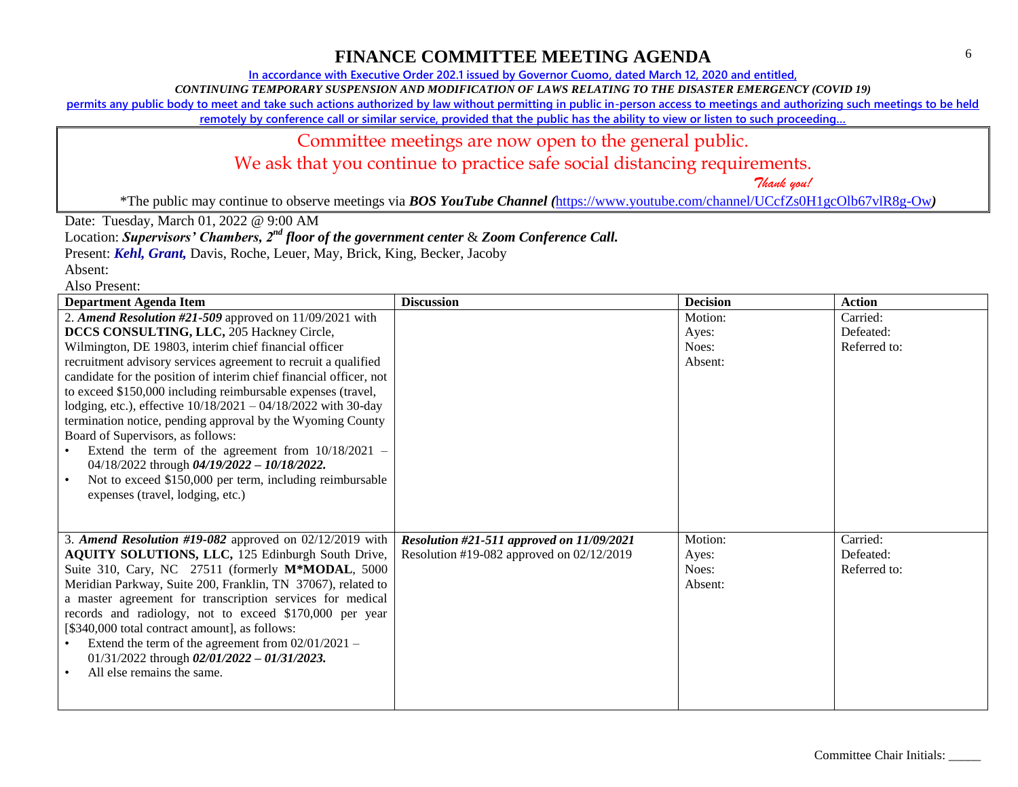**In accordance with Executive Order 202.1 issued by Governor Cuomo, dated March 12, 2020 and entitled,**

*CONTINUING TEMPORARY SUSPENSION AND MODIFICATION OF LAWS RELATING TO THE DISASTER EMERGENCY (COVID 19)*

**permits any public body to meet and take such actions authorized by law without permitting in public in-person access to meetings and authorizing such meetings to be held** 

**remotely by conference call or similar service, provided that the public has the ability to view or listen to such proceeding…**

# Committee meetings are now open to the general public.

We ask that you continue to practice safe social distancing requirements.

 *Thank you!*

\*The public may continue to observe meetings via *BOS YouTube Channel (*<https://www.youtube.com/channel/UCcfZs0H1gcOlb67vlR8g-Ow>*)*

Date: Tuesday, March 01, 2022 @ 9:00 AM

Location: *Supervisors' Chambers, 2nd floor of the government center* & *Zoom Conference Call.*

Present: *Kehl, Grant,* Davis, Roche, Leuer, May, Brick, King, Becker, Jacoby

| <b>Department Agenda Item</b>                                                                                                                                                                                                                                                                                                                                                                                                                                                                                                                                                                                                                                                                                                                    | <b>Discussion</b>                                                                        | <b>Decision</b>                      | <b>Action</b>                         |
|--------------------------------------------------------------------------------------------------------------------------------------------------------------------------------------------------------------------------------------------------------------------------------------------------------------------------------------------------------------------------------------------------------------------------------------------------------------------------------------------------------------------------------------------------------------------------------------------------------------------------------------------------------------------------------------------------------------------------------------------------|------------------------------------------------------------------------------------------|--------------------------------------|---------------------------------------|
| 2. Amend Resolution #21-509 approved on 11/09/2021 with<br>DCCS CONSULTING, LLC, 205 Hackney Circle,<br>Wilmington, DE 19803, interim chief financial officer<br>recruitment advisory services agreement to recruit a qualified<br>candidate for the position of interim chief financial officer, not<br>to exceed \$150,000 including reimbursable expenses (travel,<br>lodging, etc.), effective 10/18/2021 - 04/18/2022 with 30-day<br>termination notice, pending approval by the Wyoming County<br>Board of Supervisors, as follows:<br>Extend the term of the agreement from $10/18/2021$ -<br>04/18/2022 through 04/19/2022 - 10/18/2022.<br>Not to exceed \$150,000 per term, including reimbursable<br>expenses (travel, lodging, etc.) |                                                                                          | Motion:<br>Ayes:<br>Noes:<br>Absent: | Carried:<br>Defeated:<br>Referred to: |
| 3. Amend Resolution #19-082 approved on $02/12/2019$ with<br>AQUITY SOLUTIONS, LLC, 125 Edinburgh South Drive,<br>Suite 310, Cary, NC 27511 (formerly M*MODAL, 5000<br>Meridian Parkway, Suite 200, Franklin, TN 37067), related to<br>a master agreement for transcription services for medical<br>records and radiology, not to exceed \$170,000 per year<br>[\$340,000 total contract amount], as follows:<br>Extend the term of the agreement from $02/01/2021 -$<br>01/31/2022 through 02/01/2022 - 01/31/2023.<br>All else remains the same.                                                                                                                                                                                               | Resolution #21-511 approved on 11/09/2021<br>Resolution #19-082 approved on $02/12/2019$ | Motion:<br>Ayes:<br>Noes:<br>Absent: | Carried:<br>Defeated:<br>Referred to: |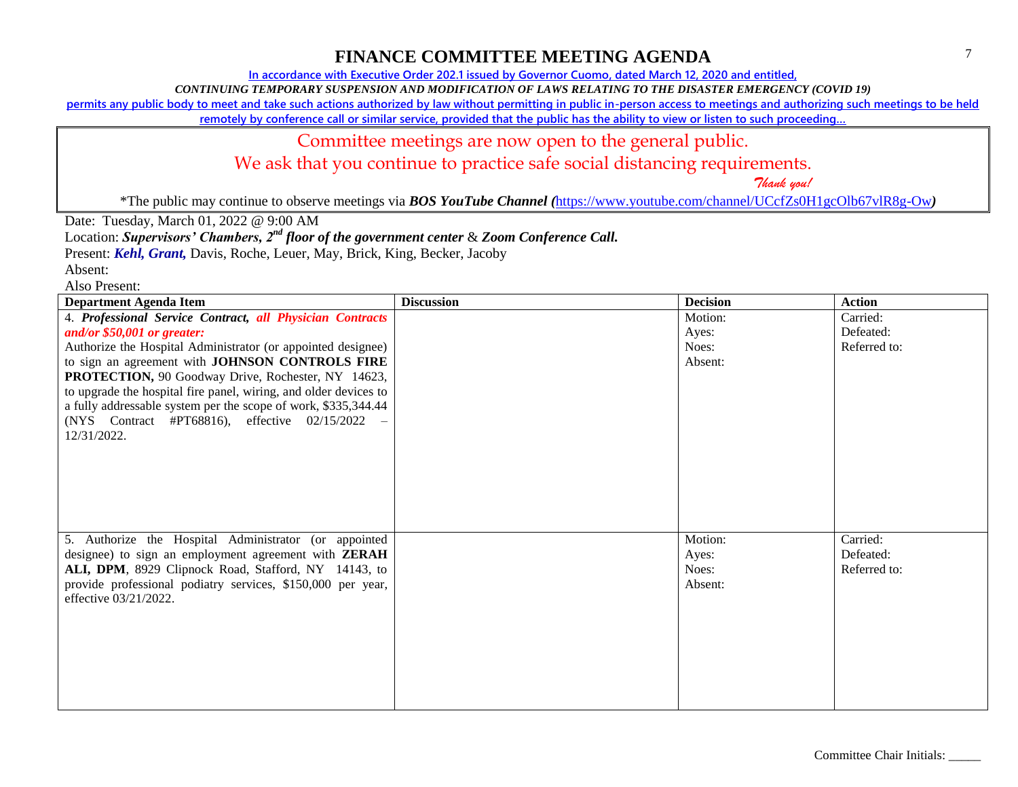**In accordance with Executive Order 202.1 issued by Governor Cuomo, dated March 12, 2020 and entitled,**

*CONTINUING TEMPORARY SUSPENSION AND MODIFICATION OF LAWS RELATING TO THE DISASTER EMERGENCY (COVID 19)*

**permits any public body to meet and take such actions authorized by law without permitting in public in-person access to meetings and authorizing such meetings to be held** 

**remotely by conference call or similar service, provided that the public has the ability to view or listen to such proceeding…**

### Committee meetings are now open to the general public.

We ask that you continue to practice safe social distancing requirements.

 *Thank you!*

\*The public may continue to observe meetings via *BOS YouTube Channel (*<https://www.youtube.com/channel/UCcfZs0H1gcOlb67vlR8g-Ow>*)*

Date: Tuesday, March 01, 2022 @ 9:00 AM

Location: *Supervisors' Chambers, 2nd floor of the government center* & *Zoom Conference Call.*

Present: *Kehl, Grant,* Davis, Roche, Leuer, May, Brick, King, Becker, Jacoby

Absent:

| <b>Department Agenda Item</b>                                    | <b>Discussion</b> | <b>Decision</b> | <b>Action</b> |
|------------------------------------------------------------------|-------------------|-----------------|---------------|
| 4. Professional Service Contract, all Physician Contracts        |                   | Motion:         | Carried:      |
| and/or $$50,001$ or greater:                                     |                   | Ayes:           | Defeated:     |
| Authorize the Hospital Administrator (or appointed designee)     |                   | Noes:           | Referred to:  |
| to sign an agreement with JOHNSON CONTROLS FIRE                  |                   | Absent:         |               |
| PROTECTION, 90 Goodway Drive, Rochester, NY 14623,               |                   |                 |               |
| to upgrade the hospital fire panel, wiring, and older devices to |                   |                 |               |
| a fully addressable system per the scope of work, \$335,344.44   |                   |                 |               |
| (NYS Contract #PT68816), effective 02/15/2022                    |                   |                 |               |
| 12/31/2022.                                                      |                   |                 |               |
|                                                                  |                   |                 |               |
|                                                                  |                   |                 |               |
|                                                                  |                   |                 |               |
|                                                                  |                   |                 |               |
|                                                                  |                   |                 |               |
|                                                                  |                   |                 |               |
| 5. Authorize the Hospital Administrator (or appointed            |                   | Motion:         | Carried:      |
| designee) to sign an employment agreement with <b>ZERAH</b>      |                   | Ayes:           | Defeated:     |
| ALI, DPM, 8929 Clipnock Road, Stafford, NY 14143, to             |                   | Noes:           | Referred to:  |
| provide professional podiatry services, \$150,000 per year,      |                   | Absent:         |               |
| effective 03/21/2022.                                            |                   |                 |               |
|                                                                  |                   |                 |               |
|                                                                  |                   |                 |               |
|                                                                  |                   |                 |               |
|                                                                  |                   |                 |               |
|                                                                  |                   |                 |               |
|                                                                  |                   |                 |               |
|                                                                  |                   |                 |               |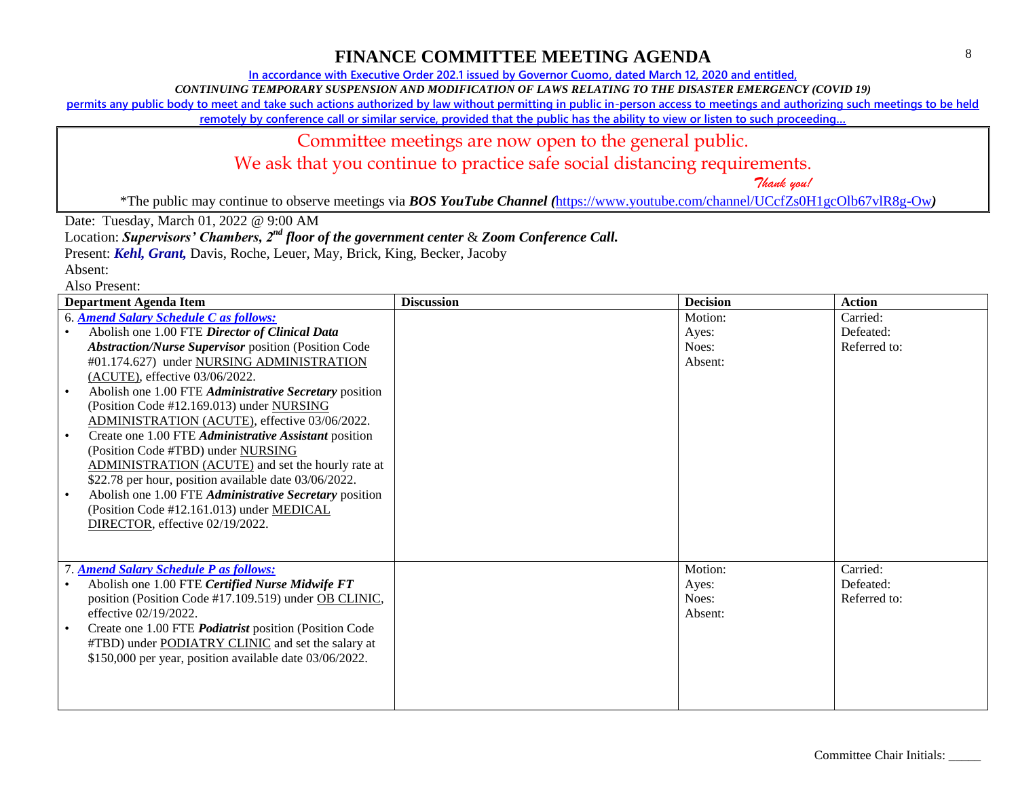**In accordance with Executive Order 202.1 issued by Governor Cuomo, dated March 12, 2020 and entitled,**

*CONTINUING TEMPORARY SUSPENSION AND MODIFICATION OF LAWS RELATING TO THE DISASTER EMERGENCY (COVID 19)*

**permits any public body to meet and take such actions authorized by law without permitting in public in-person access to meetings and authorizing such meetings to be held** 

**remotely by conference call or similar service, provided that the public has the ability to view or listen to such proceeding…**

## Committee meetings are now open to the general public.

We ask that you continue to practice safe social distancing requirements.

 *Thank you!*

\*The public may continue to observe meetings via *BOS YouTube Channel (*<https://www.youtube.com/channel/UCcfZs0H1gcOlb67vlR8g-Ow>*)*

Date: Tuesday, March 01, 2022 @ 9:00 AM

Location: *Supervisors' Chambers, 2nd floor of the government center* & *Zoom Conference Call.*

Present: *Kehl, Grant,* Davis, Roche, Leuer, May, Brick, King, Becker, Jacoby

| <b>Department Agenda Item</b>                                                                                                                                                                                                                                                                                                                                                                                                                                                                                                                                                                                                                                                                                                                         | <b>Discussion</b> | <b>Decision</b>                      | <b>Action</b>                         |
|-------------------------------------------------------------------------------------------------------------------------------------------------------------------------------------------------------------------------------------------------------------------------------------------------------------------------------------------------------------------------------------------------------------------------------------------------------------------------------------------------------------------------------------------------------------------------------------------------------------------------------------------------------------------------------------------------------------------------------------------------------|-------------------|--------------------------------------|---------------------------------------|
| 6. Amend Salary Schedule C as follows:<br>Abolish one 1.00 FTE Director of Clinical Data<br><b>Abstraction/Nurse Supervisor position (Position Code</b><br>#01.174.627) under NURSING ADMINISTRATION<br>(ACUTE), effective 03/06/2022.<br>Abolish one 1.00 FTE Administrative Secretary position<br>(Position Code #12.169.013) under NURSING<br>ADMINISTRATION (ACUTE), effective 03/06/2022.<br>Create one 1.00 FTE Administrative Assistant position<br>(Position Code #TBD) under NURSING<br>ADMINISTRATION (ACUTE) and set the hourly rate at<br>\$22.78 per hour, position available date 03/06/2022.<br>Abolish one 1.00 FTE Administrative Secretary position<br>(Position Code #12.161.013) under MEDICAL<br>DIRECTOR, effective 02/19/2022. |                   | Motion:<br>Ayes:<br>Noes:<br>Absent: | Carried:<br>Defeated:<br>Referred to: |
| <b>7. Amend Salary Schedule P as follows:</b><br>Abolish one 1.00 FTE Certified Nurse Midwife FT<br>position (Position Code #17.109.519) under OB CLINIC,<br>effective 02/19/2022.<br>Create one 1.00 FTE <i>Podiatrist</i> position (Position Code<br>#TBD) under <b>PODIATRY CLINIC</b> and set the salary at<br>\$150,000 per year, position available date 03/06/2022.                                                                                                                                                                                                                                                                                                                                                                            |                   | Motion:<br>Ayes:<br>Noes:<br>Absent: | Carried:<br>Defeated:<br>Referred to: |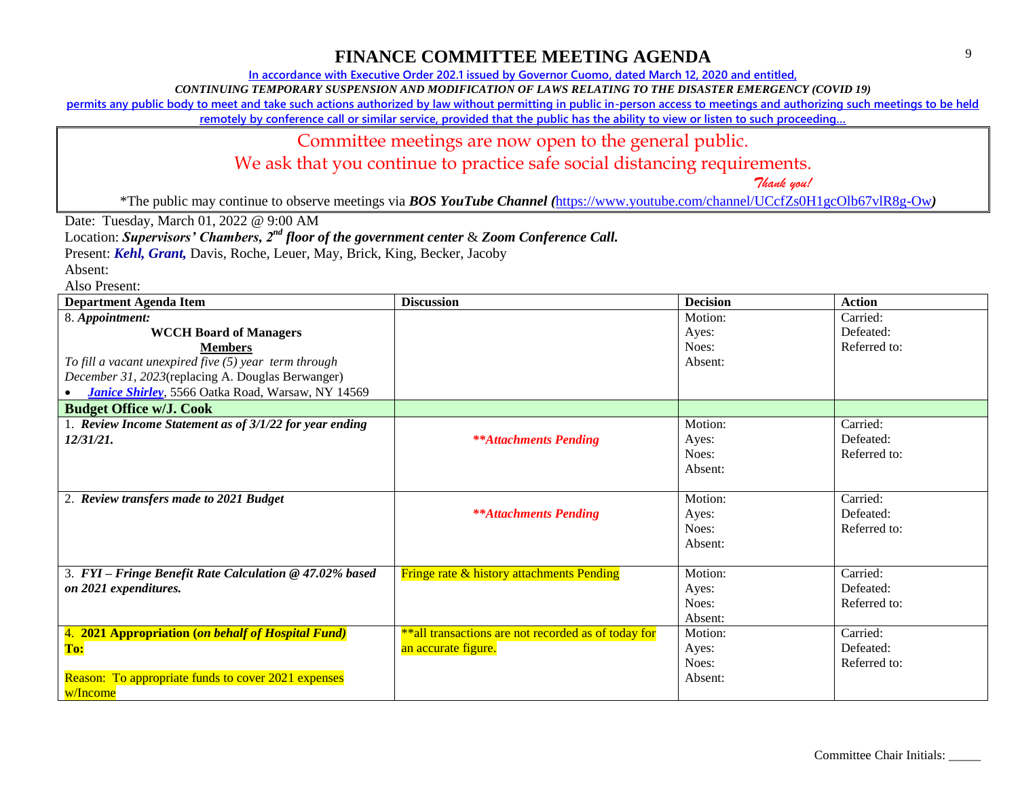**In accordance with Executive Order 202.1 issued by Governor Cuomo, dated March 12, 2020 and entitled,**

*CONTINUING TEMPORARY SUSPENSION AND MODIFICATION OF LAWS RELATING TO THE DISASTER EMERGENCY (COVID 19)*

**permits any public body to meet and take such actions authorized by law without permitting in public in-person access to meetings and authorizing such meetings to be held** 

**remotely by conference call or similar service, provided that the public has the ability to view or listen to such proceeding…**

#### Committee meetings are now open to the general public.

We ask that you continue to practice safe social distancing requirements.

 *Thank you!*

\*The public may continue to observe meetings via *BOS YouTube Channel (*<https://www.youtube.com/channel/UCcfZs0H1gcOlb67vlR8g-Ow>*)*

Date: Tuesday, March 01, 2022 @ 9:00 AM

Location: *Supervisors' Chambers, 2nd floor of the government center* & *Zoom Conference Call.*

Present: *Kehl, Grant,* Davis, Roche, Leuer, May, Brick, King, Becker, Jacoby

Absent:

| <b>Department Agenda Item</b>                              | <b>Discussion</b>                                    | <b>Decision</b> | <b>Action</b> |
|------------------------------------------------------------|------------------------------------------------------|-----------------|---------------|
| 8. Appointment:                                            |                                                      | Motion:         | Carried:      |
| <b>WCCH Board of Managers</b>                              |                                                      | Ayes:           | Defeated:     |
| <b>Members</b>                                             |                                                      | Noes:           | Referred to:  |
| To fill a vacant unexpired five $(5)$ year term through    |                                                      | Absent:         |               |
| December 31, 2023(replacing A. Douglas Berwanger)          |                                                      |                 |               |
| <b>Janice Shirley</b> , 5566 Oatka Road, Warsaw, NY 14569  |                                                      |                 |               |
| <b>Budget Office w/J. Cook</b>                             |                                                      |                 |               |
| 1. Review Income Statement as of 3/1/22 for year ending    |                                                      | Motion:         | Carried:      |
| 12/31/21.                                                  | <b>**Attachments Pending</b>                         | Ayes:           | Defeated:     |
|                                                            |                                                      | Noes:           | Referred to:  |
|                                                            |                                                      | Absent:         |               |
|                                                            |                                                      |                 |               |
| 2. Review transfers made to 2021 Budget                    |                                                      | Motion:         | Carried:      |
|                                                            | <b>**Attachments Pending</b>                         | Ayes:           | Defeated:     |
|                                                            |                                                      | Noes:           | Referred to:  |
|                                                            |                                                      | Absent:         |               |
|                                                            |                                                      |                 |               |
| 3. FYI - Fringe Benefit Rate Calculation @ 47.02% based    | <b>Fringe rate &amp; history attachments Pending</b> | Motion:         | Carried:      |
| on 2021 expenditures.                                      |                                                      | Ayes:           | Defeated:     |
|                                                            |                                                      | Noes:           | Referred to:  |
|                                                            |                                                      | Absent:         |               |
| 4. 2021 Appropriation (on behalf of Hospital Fund)         | **all transactions are not recorded as of today for  | Motion:         | Carried:      |
| To:                                                        | an accurate figure.                                  | Ayes:           | Defeated:     |
|                                                            |                                                      | Noes:           | Referred to:  |
| <b>Reason: To appropriate funds to cover 2021 expenses</b> |                                                      | Absent:         |               |
| w/Income                                                   |                                                      |                 |               |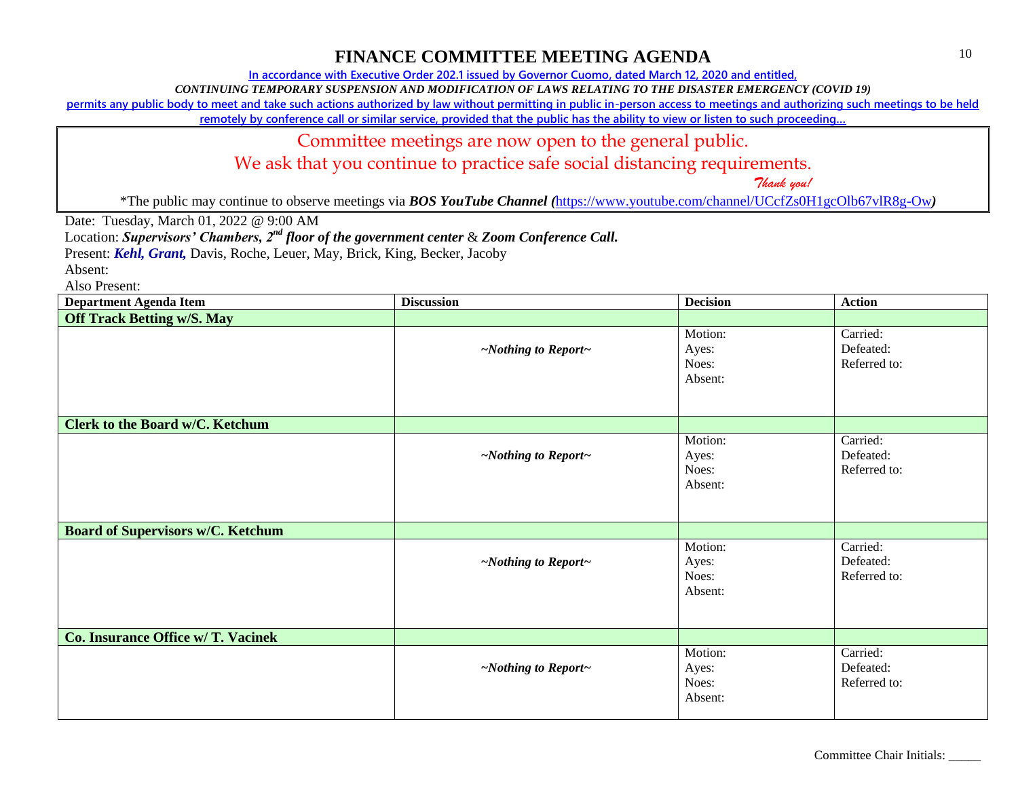**In accordance with Executive Order 202.1 issued by Governor Cuomo, dated March 12, 2020 and entitled,**

*CONTINUING TEMPORARY SUSPENSION AND MODIFICATION OF LAWS RELATING TO THE DISASTER EMERGENCY (COVID 19)*

**permits any public body to meet and take such actions authorized by law without permitting in public in-person access to meetings and authorizing such meetings to be held** 

**remotely by conference call or similar service, provided that the public has the ability to view or listen to such proceeding…**

#### Committee meetings are now open to the general public.

We ask that you continue to practice safe social distancing requirements.

 *Thank you!*

\*The public may continue to observe meetings via *BOS YouTube Channel (*<https://www.youtube.com/channel/UCcfZs0H1gcOlb67vlR8g-Ow>*)*

Date: Tuesday, March 01, 2022 @ 9:00 AM

Location: *Supervisors' Chambers, 2nd floor of the government center* & *Zoom Conference Call.*

Present: *Kehl, Grant,* Davis, Roche, Leuer, May, Brick, King, Becker, Jacoby

Absent:

| <b>Department Agenda Item</b>            | <b>Discussion</b>               | <b>Decision</b>                      | <b>Action</b>                         |
|------------------------------------------|---------------------------------|--------------------------------------|---------------------------------------|
| <b>Off Track Betting w/S. May</b>        |                                 |                                      |                                       |
|                                          | $\sim$ Nothing to Report $\sim$ | Motion:<br>Ayes:<br>Noes:<br>Absent: | Carried:<br>Defeated:<br>Referred to: |
| Clerk to the Board w/C. Ketchum          |                                 |                                      |                                       |
|                                          | $\sim$ Nothing to Report $\sim$ | Motion:<br>Ayes:<br>Noes:<br>Absent: | Carried:<br>Defeated:<br>Referred to: |
| <b>Board of Supervisors w/C. Ketchum</b> |                                 |                                      |                                       |
|                                          | $\sim$ Nothing to Report $\sim$ | Motion:<br>Ayes:<br>Noes:<br>Absent: | Carried:<br>Defeated:<br>Referred to: |
| Co. Insurance Office w/ T. Vacinek       |                                 |                                      |                                       |
|                                          | $\sim$ Nothing to Report $\sim$ | Motion:<br>Ayes:<br>Noes:<br>Absent: | Carried:<br>Defeated:<br>Referred to: |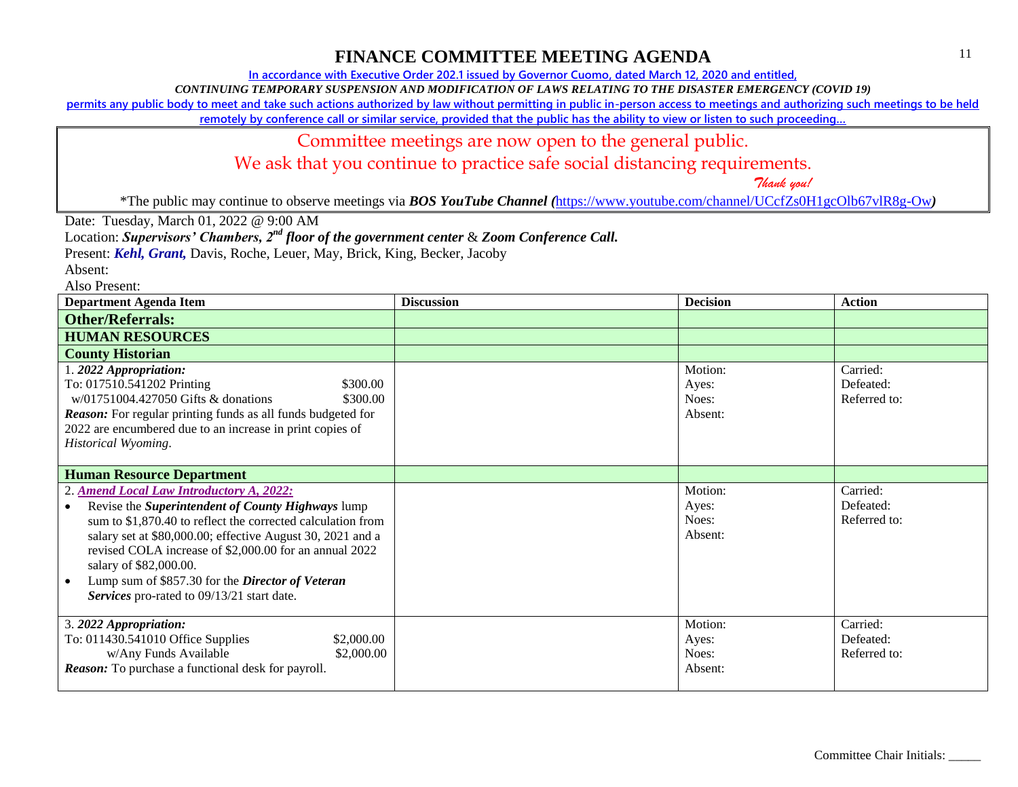**In accordance with Executive Order 202.1 issued by Governor Cuomo, dated March 12, 2020 and entitled,**

*CONTINUING TEMPORARY SUSPENSION AND MODIFICATION OF LAWS RELATING TO THE DISASTER EMERGENCY (COVID 19)*

**permits any public body to meet and take such actions authorized by law without permitting in public in-person access to meetings and authorizing such meetings to be held** 

**remotely by conference call or similar service, provided that the public has the ability to view or listen to such proceeding…**

#### Committee meetings are now open to the general public.

We ask that you continue to practice safe social distancing requirements.

 *Thank you!*

\*The public may continue to observe meetings via *BOS YouTube Channel (*<https://www.youtube.com/channel/UCcfZs0H1gcOlb67vlR8g-Ow>*)*

Date: Tuesday, March 01, 2022 @ 9:00 AM

Location: *Supervisors' Chambers, 2nd floor of the government center* & *Zoom Conference Call.*

Present: *Kehl, Grant,* Davis, Roche, Leuer, May, Brick, King, Becker, Jacoby

Absent:

| <b>Department Agenda Item</b>                                                                                                                                                                                                                                                                                                                                                                                    | <b>Discussion</b> | <b>Decision</b>                      | <b>Action</b>                         |
|------------------------------------------------------------------------------------------------------------------------------------------------------------------------------------------------------------------------------------------------------------------------------------------------------------------------------------------------------------------------------------------------------------------|-------------------|--------------------------------------|---------------------------------------|
| <b>Other/Referrals:</b>                                                                                                                                                                                                                                                                                                                                                                                          |                   |                                      |                                       |
| <b>HUMAN RESOURCES</b>                                                                                                                                                                                                                                                                                                                                                                                           |                   |                                      |                                       |
| <b>County Historian</b>                                                                                                                                                                                                                                                                                                                                                                                          |                   |                                      |                                       |
| 1. 2022 Appropriation:<br>To: 017510.541202 Printing<br>\$300.00<br>$w/01751004.427050$ Gifts & donations<br>\$300.00<br><b>Reason:</b> For regular printing funds as all funds budgeted for<br>2022 are encumbered due to an increase in print copies of<br>Historical Wyoming.                                                                                                                                 |                   | Motion:<br>Ayes:<br>Noes:<br>Absent: | Carried:<br>Defeated:<br>Referred to: |
| <b>Human Resource Department</b>                                                                                                                                                                                                                                                                                                                                                                                 |                   |                                      |                                       |
| 2. Amend Local Law Introductory A, 2022:<br>Revise the Superintendent of County Highways lump<br>sum to \$1,870.40 to reflect the corrected calculation from<br>salary set at \$80,000.00; effective August 30, 2021 and a<br>revised COLA increase of \$2,000.00 for an annual 2022<br>salary of \$82,000.00.<br>Lump sum of \$857.30 for the Director of Veteran<br>Services pro-rated to 09/13/21 start date. |                   | Motion:<br>Ayes:<br>Noes:<br>Absent: | Carried:<br>Defeated:<br>Referred to: |
| 3. 2022 Appropriation:<br>To: 011430.541010 Office Supplies<br>\$2,000.00<br>w/Any Funds Available<br>\$2,000.00<br><b>Reason:</b> To purchase a functional desk for payroll.                                                                                                                                                                                                                                    |                   | Motion:<br>Ayes:<br>Noes:<br>Absent: | Carried:<br>Defeated:<br>Referred to: |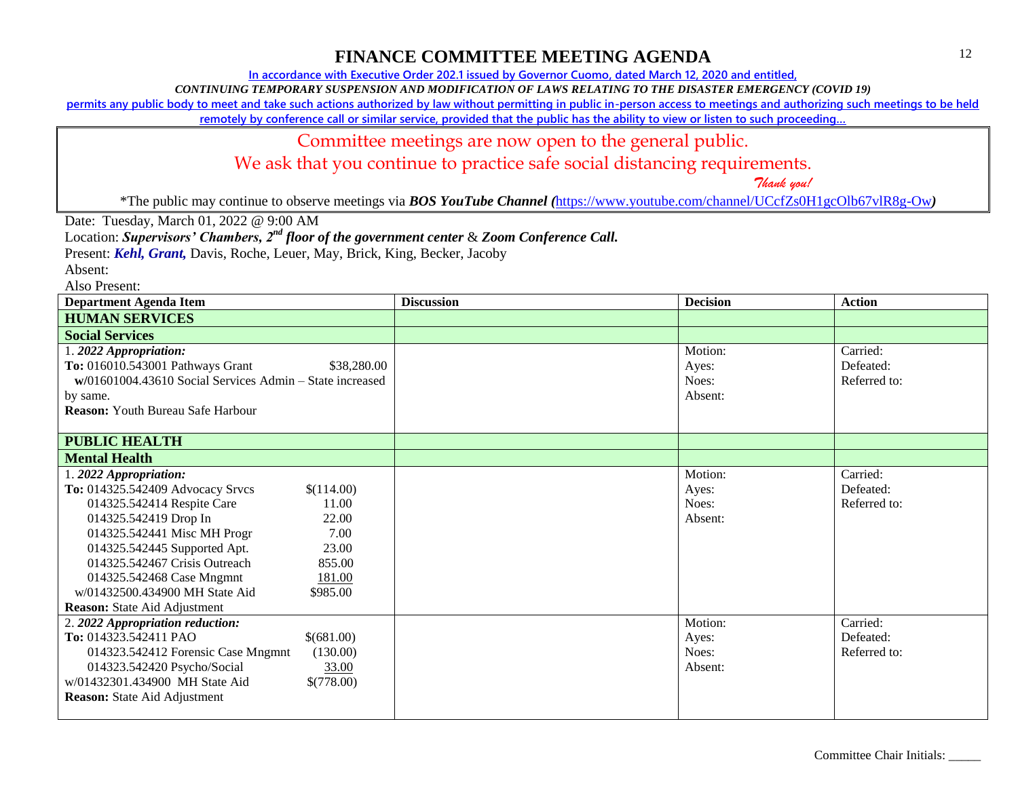**In accordance with Executive Order 202.1 issued by Governor Cuomo, dated March 12, 2020 and entitled,**

*CONTINUING TEMPORARY SUSPENSION AND MODIFICATION OF LAWS RELATING TO THE DISASTER EMERGENCY (COVID 19)*

**permits any public body to meet and take such actions authorized by law without permitting in public in-person access to meetings and authorizing such meetings to be held** 

**remotely by conference call or similar service, provided that the public has the ability to view or listen to such proceeding…**

#### Committee meetings are now open to the general public.

We ask that you continue to practice safe social distancing requirements.

 *Thank you!*

\*The public may continue to observe meetings via *BOS YouTube Channel (*<https://www.youtube.com/channel/UCcfZs0H1gcOlb67vlR8g-Ow>*)*

Date: Tuesday, March 01, 2022 @ 9:00 AM

Location: *Supervisors' Chambers, 2nd floor of the government center* & *Zoom Conference Call.*

Present: *Kehl, Grant,* Davis, Roche, Leuer, May, Brick, King, Becker, Jacoby

Absent:

| <b>Department Agenda Item</b>                                                                                                                                                                                                                                                                                                                                                                    | <b>Discussion</b> | <b>Decision</b>                      | <b>Action</b>                         |
|--------------------------------------------------------------------------------------------------------------------------------------------------------------------------------------------------------------------------------------------------------------------------------------------------------------------------------------------------------------------------------------------------|-------------------|--------------------------------------|---------------------------------------|
| <b>HUMAN SERVICES</b>                                                                                                                                                                                                                                                                                                                                                                            |                   |                                      |                                       |
| <b>Social Services</b>                                                                                                                                                                                                                                                                                                                                                                           |                   |                                      |                                       |
| 1.2022 Appropriation:<br>To: 016010.543001 Pathways Grant<br>\$38,280.00<br>w/01601004.43610 Social Services Admin - State increased<br>by same.<br><b>Reason:</b> Youth Bureau Safe Harbour                                                                                                                                                                                                     |                   | Motion:<br>Ayes:<br>Noes:<br>Absent: | Carried:<br>Defeated:<br>Referred to: |
| <b>PUBLIC HEALTH</b>                                                                                                                                                                                                                                                                                                                                                                             |                   |                                      |                                       |
| <b>Mental Health</b>                                                                                                                                                                                                                                                                                                                                                                             |                   |                                      |                                       |
| 1.2022 Appropriation:<br>To: 014325.542409 Advocacy Srvcs<br>\$(114.00)<br>014325.542414 Respite Care<br>11.00<br>014325.542419 Drop In<br>22.00<br>014325.542441 Misc MH Progr<br>7.00<br>23.00<br>014325.542445 Supported Apt.<br>014325.542467 Crisis Outreach<br>855.00<br>014325.542468 Case Mngmnt<br>181.00<br>w/01432500.434900 MH State Aid<br>\$985.00<br>Reason: State Aid Adjustment |                   | Motion:<br>Ayes:<br>Noes:<br>Absent: | Carried:<br>Defeated:<br>Referred to: |
| 2. 2022 Appropriation reduction:<br>To: 014323.542411 PAO<br>\$(681.00)<br>014323.542412 Forensic Case Mngmnt<br>(130.00)<br>014323.542420 Psycho/Social<br>33.00<br>w/01432301.434900 MH State Aid<br>\$(778.00)<br><b>Reason:</b> State Aid Adjustment                                                                                                                                         |                   | Motion:<br>Ayes:<br>Noes:<br>Absent: | Carried:<br>Defeated:<br>Referred to: |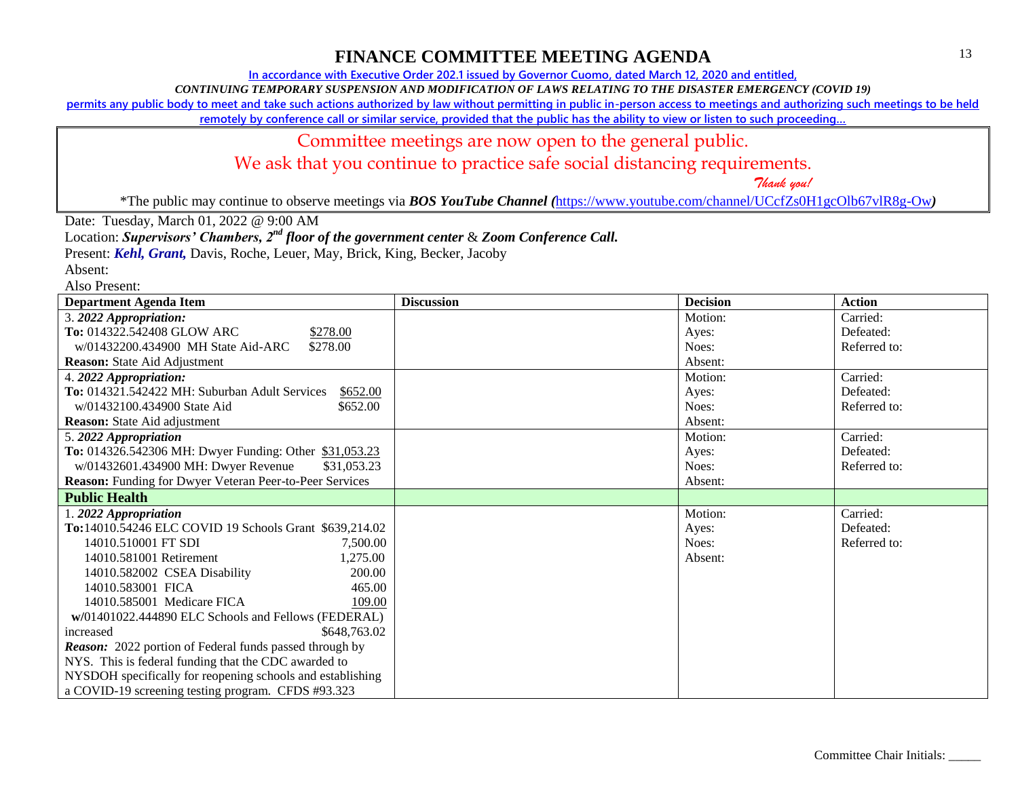**In accordance with Executive Order 202.1 issued by Governor Cuomo, dated March 12, 2020 and entitled,**

*CONTINUING TEMPORARY SUSPENSION AND MODIFICATION OF LAWS RELATING TO THE DISASTER EMERGENCY (COVID 19)*

**permits any public body to meet and take such actions authorized by law without permitting in public in-person access to meetings and authorizing such meetings to be held** 

**remotely by conference call or similar service, provided that the public has the ability to view or listen to such proceeding…**

#### Committee meetings are now open to the general public.

We ask that you continue to practice safe social distancing requirements.

 *Thank you!*

\*The public may continue to observe meetings via *BOS YouTube Channel (*<https://www.youtube.com/channel/UCcfZs0H1gcOlb67vlR8g-Ow>*)*

Date: Tuesday, March 01, 2022 @ 9:00 AM

Location: *Supervisors' Chambers, 2nd floor of the government center* & *Zoom Conference Call.*

Present: *Kehl, Grant,* Davis, Roche, Leuer, May, Brick, King, Becker, Jacoby

| <b>Department Agenda Item</b>                                  | <b>Discussion</b> | <b>Decision</b> | <b>Action</b> |
|----------------------------------------------------------------|-------------------|-----------------|---------------|
| 3. 2022 Appropriation:                                         |                   | Motion:         | Carried:      |
| <b>To: 014322.542408 GLOW ARC</b><br>\$278.00                  |                   | Ayes:           | Defeated:     |
| w/01432200.434900 MH State Aid-ARC<br>\$278.00                 |                   | Noes:           | Referred to:  |
| <b>Reason:</b> State Aid Adjustment                            |                   | Absent:         |               |
| 4. 2022 Appropriation:                                         |                   | Motion:         | Carried:      |
| To: 014321.542422 MH: Suburban Adult Services<br>\$652.00      |                   | Ayes:           | Defeated:     |
| w/01432100.434900 State Aid<br>\$652.00                        |                   | Noes:           | Referred to:  |
| <b>Reason:</b> State Aid adjustment                            |                   | Absent:         |               |
| 5.2022 Appropriation                                           |                   | Motion:         | Carried:      |
| To: 014326.542306 MH: Dwyer Funding: Other \$31,053.23         |                   | Ayes:           | Defeated:     |
| w/01432601.434900 MH: Dwyer Revenue<br>\$31,053.23             |                   | Noes:           | Referred to:  |
| Reason: Funding for Dwyer Veteran Peer-to-Peer Services        |                   | Absent:         |               |
| <b>Public Health</b>                                           |                   |                 |               |
| 1.2022 Appropriation                                           |                   | Motion:         | Carried:      |
| To:14010.54246 ELC COVID 19 Schools Grant \$639,214.02         |                   | Ayes:           | Defeated:     |
| 14010.510001 FT SDI<br>7,500.00                                |                   | Noes:           | Referred to:  |
| 14010.581001 Retirement<br>1,275.00                            |                   | Absent:         |               |
| 14010.582002 CSEA Disability<br>200.00                         |                   |                 |               |
| 14010.583001 FICA<br>465.00                                    |                   |                 |               |
| 14010.585001 Medicare FICA<br>109.00                           |                   |                 |               |
| w/01401022.444890 ELC Schools and Fellows (FEDERAL)            |                   |                 |               |
| \$648,763.02<br>increased                                      |                   |                 |               |
| <b>Reason:</b> 2022 portion of Federal funds passed through by |                   |                 |               |
| NYS. This is federal funding that the CDC awarded to           |                   |                 |               |
| NYSDOH specifically for reopening schools and establishing     |                   |                 |               |
| a COVID-19 screening testing program. CFDS #93.323             |                   |                 |               |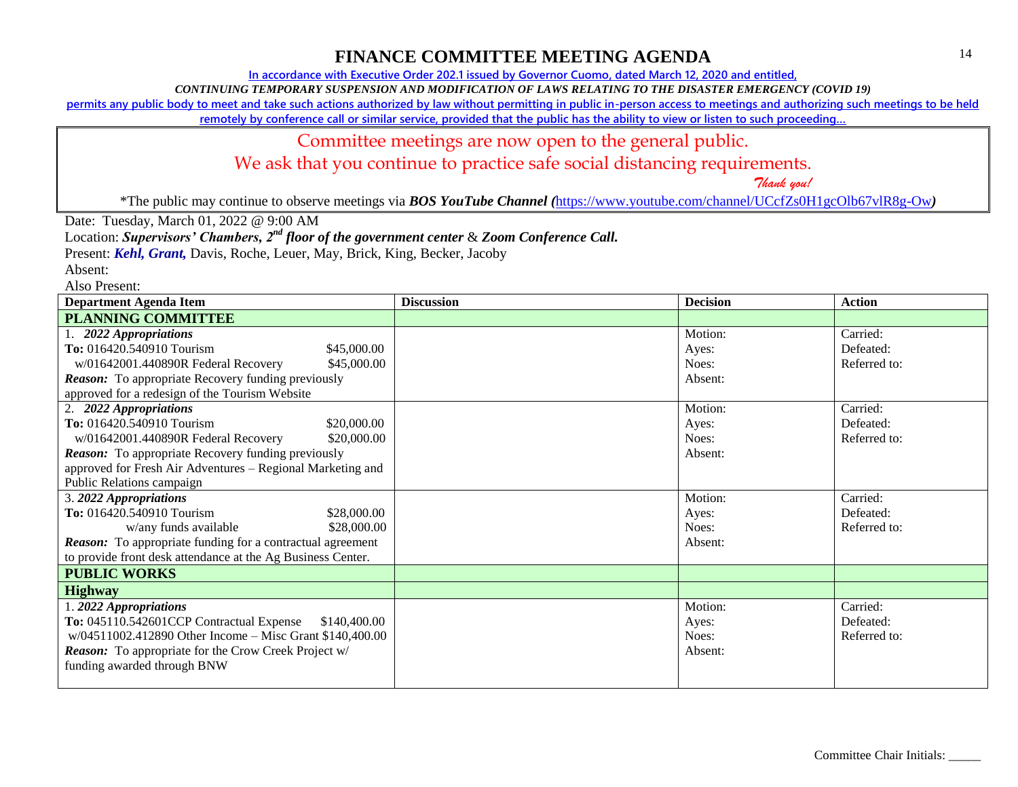**In accordance with Executive Order 202.1 issued by Governor Cuomo, dated March 12, 2020 and entitled,**

*CONTINUING TEMPORARY SUSPENSION AND MODIFICATION OF LAWS RELATING TO THE DISASTER EMERGENCY (COVID 19)*

**permits any public body to meet and take such actions authorized by law without permitting in public in-person access to meetings and authorizing such meetings to be held** 

**remotely by conference call or similar service, provided that the public has the ability to view or listen to such proceeding…**

#### Committee meetings are now open to the general public.

We ask that you continue to practice safe social distancing requirements.

 *Thank you!*

\*The public may continue to observe meetings via *BOS YouTube Channel (*<https://www.youtube.com/channel/UCcfZs0H1gcOlb67vlR8g-Ow>*)*

Date: Tuesday, March 01, 2022 @ 9:00 AM

Location: *Supervisors' Chambers, 2nd floor of the government center* & *Zoom Conference Call.*

Present: *Kehl, Grant,* Davis, Roche, Leuer, May, Brick, King, Becker, Jacoby

Absent:

| <b>Department Agenda Item</b>                                     | <b>Discussion</b> | <b>Decision</b> | <b>Action</b> |
|-------------------------------------------------------------------|-------------------|-----------------|---------------|
| <b>PLANNING COMMITTEE</b>                                         |                   |                 |               |
| 1. 2022 Appropriations                                            |                   | Motion:         | Carried:      |
| To: 016420.540910 Tourism<br>\$45,000.00                          |                   | Ayes:           | Defeated:     |
| w/01642001.440890R Federal Recovery<br>\$45,000.00                |                   | Noes:           | Referred to:  |
| <b>Reason:</b> To appropriate Recovery funding previously         |                   | Absent:         |               |
| approved for a redesign of the Tourism Website                    |                   |                 |               |
| 2. 2022 Appropriations                                            |                   | Motion:         | Carried:      |
| To: 016420.540910 Tourism<br>\$20,000.00                          |                   | Ayes:           | Defeated:     |
| \$20,000.00<br>w/01642001.440890R Federal Recovery                |                   | Noes:           | Referred to:  |
| <b>Reason:</b> To appropriate Recovery funding previously         |                   | Absent:         |               |
| approved for Fresh Air Adventures - Regional Marketing and        |                   |                 |               |
| Public Relations campaign                                         |                   |                 |               |
| 3. 2022 Appropriations                                            |                   | Motion:         | Carried:      |
| To: 016420.540910 Tourism<br>\$28,000.00                          |                   | Ayes:           | Defeated:     |
| w/any funds available<br>\$28,000.00                              |                   | Noes:           | Referred to:  |
| <b>Reason:</b> To appropriate funding for a contractual agreement |                   | Absent:         |               |
| to provide front desk attendance at the Ag Business Center.       |                   |                 |               |
| <b>PUBLIC WORKS</b>                                               |                   |                 |               |
| <b>Highway</b>                                                    |                   |                 |               |
| 1.2022 Appropriations                                             |                   | Motion:         | Carried:      |
| To: 045110.542601CCP Contractual Expense<br>\$140,400.00          |                   | Ayes:           | Defeated:     |
| w/04511002.412890 Other Income - Misc Grant \$140,400.00          |                   | Noes:           | Referred to:  |
| <b>Reason:</b> To appropriate for the Crow Creek Project w/       |                   | Absent:         |               |
| funding awarded through BNW                                       |                   |                 |               |
|                                                                   |                   |                 |               |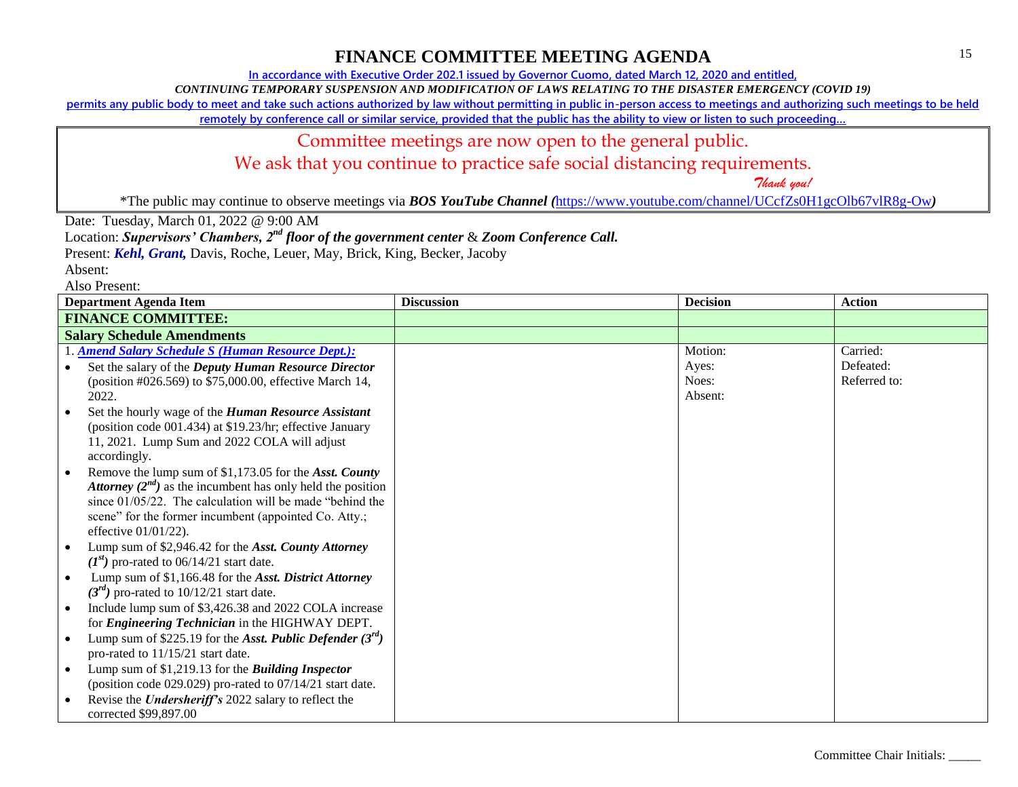**In accordance with Executive Order 202.1 issued by Governor Cuomo, dated March 12, 2020 and entitled,**

*CONTINUING TEMPORARY SUSPENSION AND MODIFICATION OF LAWS RELATING TO THE DISASTER EMERGENCY (COVID 19)*

**permits any public body to meet and take such actions authorized by law without permitting in public in-person access to meetings and authorizing such meetings to be held** 

**remotely by conference call or similar service, provided that the public has the ability to view or listen to such proceeding…**

### Committee meetings are now open to the general public.

We ask that you continue to practice safe social distancing requirements.

 *Thank you!*

\*The public may continue to observe meetings via *BOS YouTube Channel (*<https://www.youtube.com/channel/UCcfZs0H1gcOlb67vlR8g-Ow>*)*

Date: Tuesday, March 01, 2022 @ 9:00 AM

Location: *Supervisors' Chambers, 2nd floor of the government center* & *Zoom Conference Call.*

Present: *Kehl, Grant,* Davis, Roche, Leuer, May, Brick, King, Becker, Jacoby

| <b>Department Agenda Item</b>                                   | <b>Discussion</b> | <b>Decision</b> | <b>Action</b> |
|-----------------------------------------------------------------|-------------------|-----------------|---------------|
| <b>FINANCE COMMITTEE:</b>                                       |                   |                 |               |
| <b>Salary Schedule Amendments</b>                               |                   |                 |               |
| 1. Amend Salary Schedule S (Human Resource Dept.):              |                   | Motion:         | Carried:      |
| Set the salary of the Deputy Human Resource Director            |                   | Ayes:           | Defeated:     |
| (position #026.569) to \$75,000.00, effective March 14,         |                   | Noes:           | Referred to:  |
| 2022.                                                           |                   | Absent:         |               |
| Set the hourly wage of the <i>Human Resource Assistant</i>      |                   |                 |               |
| (position code 001.434) at \$19.23/hr; effective January        |                   |                 |               |
| 11, 2021. Lump Sum and 2022 COLA will adjust                    |                   |                 |               |
| accordingly.                                                    |                   |                 |               |
| Remove the lump sum of \$1,173.05 for the Asst. County          |                   |                 |               |
| Attorney $(2^{nd})$ as the incumbent has only held the position |                   |                 |               |
| since $01/05/22$ . The calculation will be made "behind the     |                   |                 |               |
| scene" for the former incumbent (appointed Co. Atty.;           |                   |                 |               |
| effective $01/01/22$ ).                                         |                   |                 |               |
| Lump sum of \$2,946.42 for the Asst. County Attorney            |                   |                 |               |
| $(I^{st})$ pro-rated to 06/14/21 start date.                    |                   |                 |               |
| Lump sum of \$1,166.48 for the Asst. District Attorney          |                   |                 |               |
| $(3^{rd})$ pro-rated to 10/12/21 start date.                    |                   |                 |               |
| Include lump sum of \$3,426.38 and 2022 COLA increase           |                   |                 |               |
| for <i>Engineering Technician</i> in the HIGHWAY DEPT.          |                   |                 |               |
| Lump sum of \$225.19 for the Asst. Public Defender $(3rd)$      |                   |                 |               |
| pro-rated to 11/15/21 start date.                               |                   |                 |               |
| Lump sum of \$1,219.13 for the <i>Building Inspector</i>        |                   |                 |               |
| (position code 029.029) pro-rated to 07/14/21 start date.       |                   |                 |               |
| Revise the <i>Undersheriff's</i> 2022 salary to reflect the     |                   |                 |               |
| corrected \$99,897.00                                           |                   |                 |               |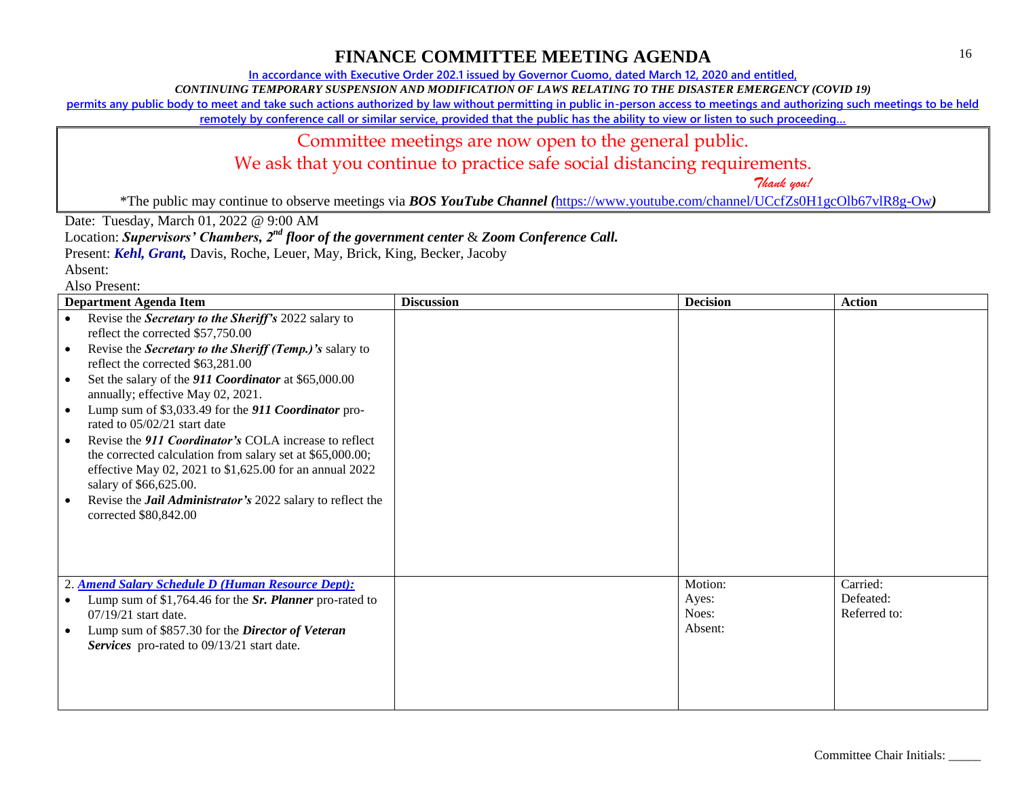**In accordance with Executive Order 202.1 issued by Governor Cuomo, dated March 12, 2020 and entitled,**

*CONTINUING TEMPORARY SUSPENSION AND MODIFICATION OF LAWS RELATING TO THE DISASTER EMERGENCY (COVID 19)*

**permits any public body to meet and take such actions authorized by law without permitting in public in-person access to meetings and authorizing such meetings to be held** 

**remotely by conference call or similar service, provided that the public has the ability to view or listen to such proceeding…**

### Committee meetings are now open to the general public.

We ask that you continue to practice safe social distancing requirements.

 *Thank you!*

\*The public may continue to observe meetings via *BOS YouTube Channel (*<https://www.youtube.com/channel/UCcfZs0H1gcOlb67vlR8g-Ow>*)*

Date: Tuesday, March 01, 2022 @ 9:00 AM

Location: *Supervisors' Chambers, 2nd floor of the government center* & *Zoom Conference Call.*

Present: *Kehl, Grant,* Davis, Roche, Leuer, May, Brick, King, Becker, Jacoby

| газо і гозепі.<br><b>Department Agenda Item</b>                                                                                                                                                                                                                                                                                                                                                                                                                                                                                                                                                                                                                                                                                                              | <b>Discussion</b> | <b>Decision</b>                      | <b>Action</b>                         |
|--------------------------------------------------------------------------------------------------------------------------------------------------------------------------------------------------------------------------------------------------------------------------------------------------------------------------------------------------------------------------------------------------------------------------------------------------------------------------------------------------------------------------------------------------------------------------------------------------------------------------------------------------------------------------------------------------------------------------------------------------------------|-------------------|--------------------------------------|---------------------------------------|
| Revise the Secretary to the Sheriff's 2022 salary to<br>$\bullet$<br>reflect the corrected \$57,750.00<br>Revise the Secretary to the Sheriff (Temp.)'s salary to<br>$\bullet$<br>reflect the corrected \$63,281.00<br>Set the salary of the 911 Coordinator at \$65,000.00<br>٠<br>annually; effective May 02, 2021.<br>Lump sum of \$3,033.49 for the 911 Coordinator pro-<br>$\bullet$<br>rated to 05/02/21 start date<br>Revise the 911 Coordinator's COLA increase to reflect<br>$\bullet$<br>the corrected calculation from salary set at \$65,000.00;<br>effective May 02, 2021 to \$1,625.00 for an annual 2022<br>salary of \$66,625.00.<br>Revise the <i>Jail Administrator's</i> 2022 salary to reflect the<br>$\bullet$<br>corrected \$80,842.00 |                   |                                      |                                       |
| 2. Amend Salary Schedule D (Human Resource Dept):<br>Lump sum of \$1,764.46 for the Sr. Planner pro-rated to<br>٠<br>07/19/21 start date.<br>Lump sum of \$857.30 for the <i>Director of Veteran</i><br>$\bullet$<br>Services pro-rated to 09/13/21 start date.                                                                                                                                                                                                                                                                                                                                                                                                                                                                                              |                   | Motion:<br>Ayes:<br>Noes:<br>Absent: | Carried:<br>Defeated:<br>Referred to: |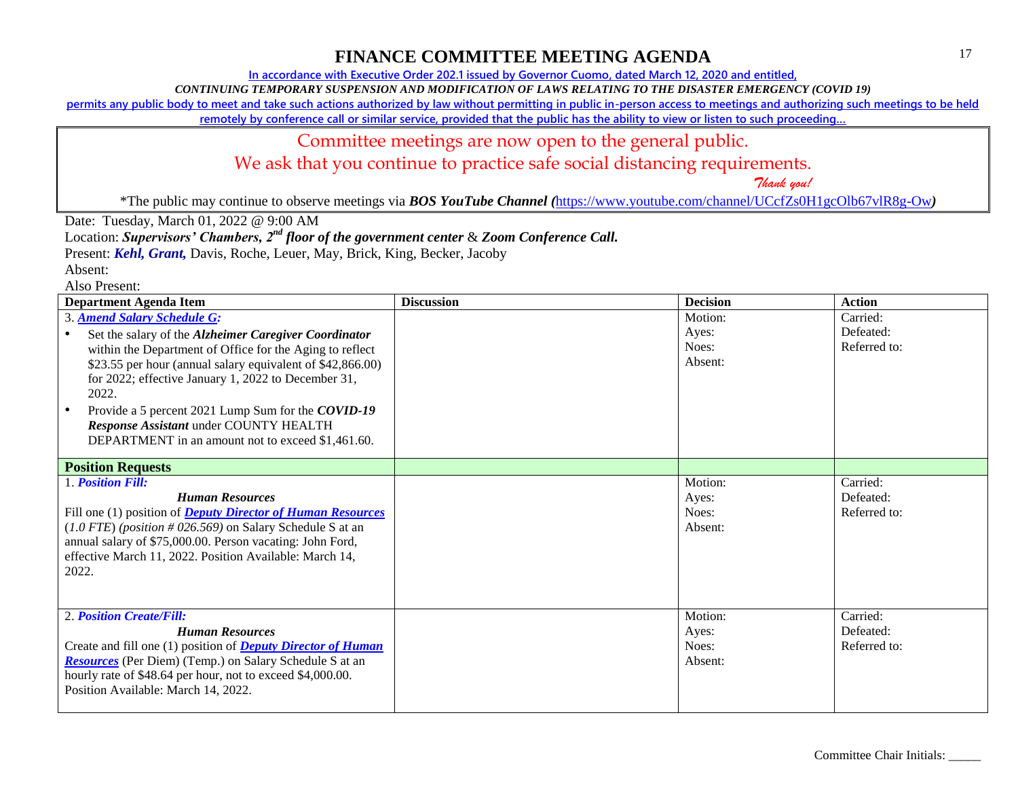**In accordance with Executive Order 202.1 issued by Governor Cuomo, dated March 12, 2020 and entitled,**

*CONTINUING TEMPORARY SUSPENSION AND MODIFICATION OF LAWS RELATING TO THE DISASTER EMERGENCY (COVID 19)*

**permits any public body to meet and take such actions authorized by law without permitting in public in-person access to meetings and authorizing such meetings to be held** 

**remotely by conference call or similar service, provided that the public has the ability to view or listen to such proceeding…**

## Committee meetings are now open to the general public.

We ask that you continue to practice safe social distancing requirements.

 *Thank you!*

\*The public may continue to observe meetings via *BOS YouTube Channel (*<https://www.youtube.com/channel/UCcfZs0H1gcOlb67vlR8g-Ow>*)*

Date: Tuesday, March 01, 2022 @ 9:00 AM

Location: *Supervisors' Chambers, 2nd floor of the government center* & *Zoom Conference Call.*

Present: *Kehl, Grant,* Davis, Roche, Leuer, May, Brick, King, Becker, Jacoby

| <b>Department Agenda Item</b>                                                                                                                                                                                                                                                                                                                                                                                                       | <b>Discussion</b> | <b>Decision</b>                      | <b>Action</b>                         |
|-------------------------------------------------------------------------------------------------------------------------------------------------------------------------------------------------------------------------------------------------------------------------------------------------------------------------------------------------------------------------------------------------------------------------------------|-------------------|--------------------------------------|---------------------------------------|
| 3. Amend Salary Schedule G:<br>Set the salary of the Alzheimer Caregiver Coordinator<br>within the Department of Office for the Aging to reflect<br>\$23.55 per hour (annual salary equivalent of \$42,866.00)<br>for 2022; effective January 1, 2022 to December 31,<br>2022.<br>Provide a 5 percent 2021 Lump Sum for the COVID-19<br>Response Assistant under COUNTY HEALTH<br>DEPARTMENT in an amount not to exceed \$1,461.60. |                   | Motion:<br>Ayes:<br>Noes:<br>Absent: | Carried:<br>Defeated:<br>Referred to: |
| <b>Position Requests</b>                                                                                                                                                                                                                                                                                                                                                                                                            |                   |                                      |                                       |
| 1. Position Fill:<br><b>Human Resources</b><br>Fill one (1) position of <b>Deputy Director of Human Resources</b><br>$(1.0$ FTE) (position #026.569) on Salary Schedule S at an<br>annual salary of \$75,000.00. Person vacating: John Ford,<br>effective March 11, 2022. Position Available: March 14,<br>2022.                                                                                                                    |                   | Motion:<br>Ayes:<br>Noes:<br>Absent: | Carried:<br>Defeated:<br>Referred to: |
| 2. Position Create/Fill:<br><b>Human Resources</b><br>Create and fill one (1) position of <b>Deputy Director of Human</b><br><b>Resources</b> (Per Diem) (Temp.) on Salary Schedule S at an<br>hourly rate of \$48.64 per hour, not to exceed \$4,000.00.<br>Position Available: March 14, 2022.                                                                                                                                    |                   | Motion:<br>Ayes:<br>Noes:<br>Absent: | Carried:<br>Defeated:<br>Referred to: |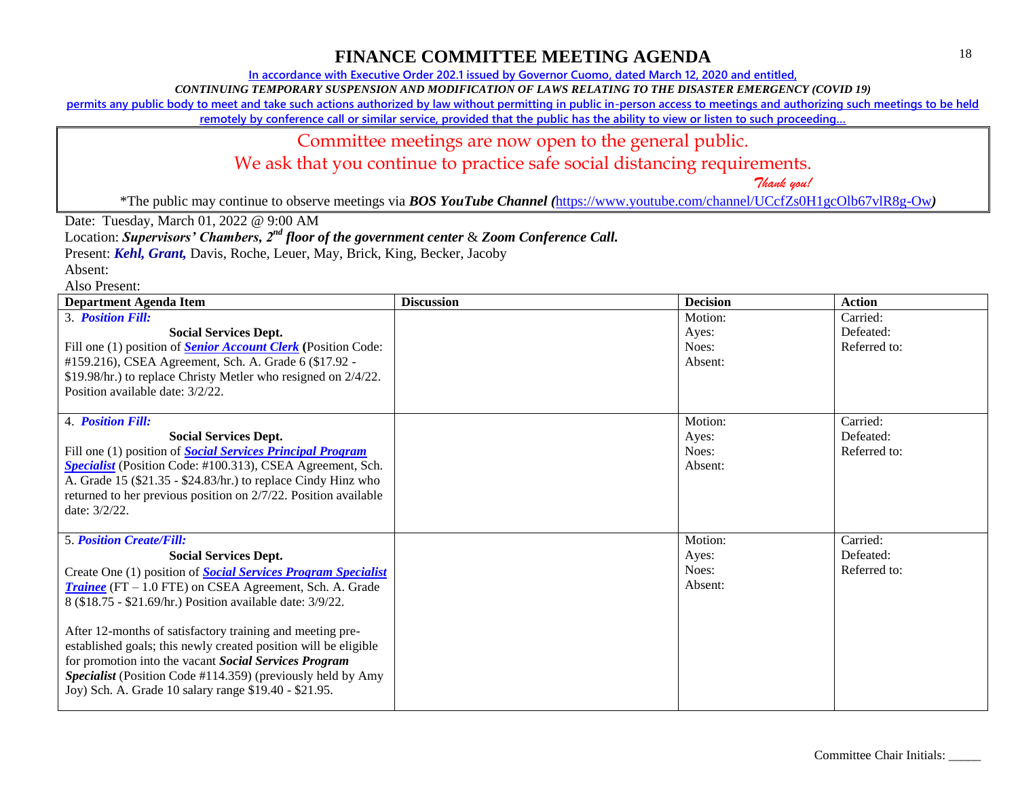**In accordance with Executive Order 202.1 issued by Governor Cuomo, dated March 12, 2020 and entitled,**

*CONTINUING TEMPORARY SUSPENSION AND MODIFICATION OF LAWS RELATING TO THE DISASTER EMERGENCY (COVID 19)*

**permits any public body to meet and take such actions authorized by law without permitting in public in-person access to meetings and authorizing such meetings to be held** 

**remotely by conference call or similar service, provided that the public has the ability to view or listen to such proceeding…**

### Committee meetings are now open to the general public.

We ask that you continue to practice safe social distancing requirements.

 *Thank you!*

\*The public may continue to observe meetings via *BOS YouTube Channel (*<https://www.youtube.com/channel/UCcfZs0H1gcOlb67vlR8g-Ow>*)*

Date: Tuesday, March 01, 2022 @ 9:00 AM

Location: *Supervisors' Chambers, 2nd floor of the government center* & *Zoom Conference Call.*

Present: *Kehl, Grant,* Davis, Roche, Leuer, May, Brick, King, Becker, Jacoby

Absent:

| <b>Department Agenda Item</b>                                                                                                                                                                                                                                                                                                                                                                                                                                                                                                                                                             | <b>Discussion</b> | <b>Decision</b>                      | <b>Action</b>                         |
|-------------------------------------------------------------------------------------------------------------------------------------------------------------------------------------------------------------------------------------------------------------------------------------------------------------------------------------------------------------------------------------------------------------------------------------------------------------------------------------------------------------------------------------------------------------------------------------------|-------------------|--------------------------------------|---------------------------------------|
| 3. Position Fill:<br><b>Social Services Dept.</b><br>Fill one (1) position of <b>Senior Account Clerk</b> (Position Code:                                                                                                                                                                                                                                                                                                                                                                                                                                                                 |                   | Motion:<br>Ayes:<br>Noes:            | Carried:<br>Defeated:<br>Referred to: |
| #159.216), CSEA Agreement, Sch. A. Grade 6 (\$17.92 -<br>\$19.98/hr.) to replace Christy Metler who resigned on 2/4/22.<br>Position available date: 3/2/22.                                                                                                                                                                                                                                                                                                                                                                                                                               |                   | Absent:                              |                                       |
| 4. Position Fill:<br><b>Social Services Dept.</b><br>Fill one (1) position of <b>Social Services Principal Program</b><br>Specialist (Position Code: #100.313), CSEA Agreement, Sch.<br>A. Grade 15 (\$21.35 - \$24.83/hr.) to replace Cindy Hinz who<br>returned to her previous position on 2/7/22. Position available<br>date: $3/2/22$ .                                                                                                                                                                                                                                              |                   | Motion:<br>Ayes:<br>Noes:<br>Absent: | Carried:<br>Defeated:<br>Referred to: |
| <b>5. Position Create/Fill:</b><br><b>Social Services Dept.</b><br>Create One (1) position of <b>Social Services Program Specialist</b><br><b>Trainee</b> (FT $-1.0$ FTE) on CSEA Agreement, Sch. A. Grade<br>8 (\$18.75 - \$21.69/hr.) Position available date: 3/9/22.<br>After 12-months of satisfactory training and meeting pre-<br>established goals; this newly created position will be eligible<br>for promotion into the vacant Social Services Program<br>Specialist (Position Code #114.359) (previously held by Amy<br>Joy) Sch. A. Grade 10 salary range \$19.40 - \$21.95. |                   | Motion:<br>Ayes:<br>Noes:<br>Absent: | Carried:<br>Defeated:<br>Referred to: |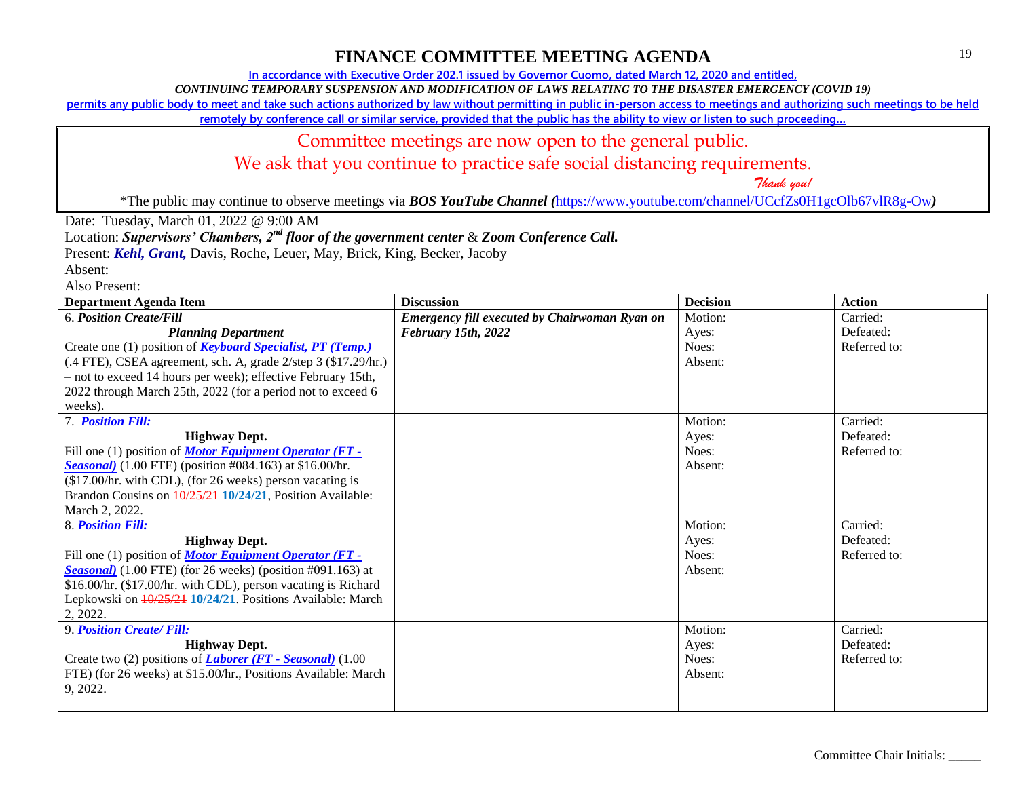**In accordance with Executive Order 202.1 issued by Governor Cuomo, dated March 12, 2020 and entitled,**

*CONTINUING TEMPORARY SUSPENSION AND MODIFICATION OF LAWS RELATING TO THE DISASTER EMERGENCY (COVID 19)*

**permits any public body to meet and take such actions authorized by law without permitting in public in-person access to meetings and authorizing such meetings to be held** 

**remotely by conference call or similar service, provided that the public has the ability to view or listen to such proceeding…**

### Committee meetings are now open to the general public.

We ask that you continue to practice safe social distancing requirements.

 *Thank you!*

\*The public may continue to observe meetings via *BOS YouTube Channel (*<https://www.youtube.com/channel/UCcfZs0H1gcOlb67vlR8g-Ow>*)*

Date: Tuesday, March 01, 2022 @ 9:00 AM

Location: *Supervisors' Chambers, 2nd floor of the government center* & *Zoom Conference Call.*

Present: *Kehl, Grant,* Davis, Roche, Leuer, May, Brick, King, Becker, Jacoby

| <b>Department Agenda Item</b>                                        | <b>Discussion</b>                             | <b>Decision</b> | <b>Action</b> |
|----------------------------------------------------------------------|-----------------------------------------------|-----------------|---------------|
| <b>6. Position Create/Fill</b>                                       | Emergency fill executed by Chairwoman Ryan on | Motion:         | Carried:      |
| <b>Planning Department</b>                                           | February 15th, 2022                           | Ayes:           | Defeated:     |
| Create one (1) position of <b>Keyboard Specialist</b> , PT (Temp.)   |                                               | Noes:           | Referred to:  |
| (.4 FTE), CSEA agreement, sch. A, grade 2/step 3 (\$17.29/hr.)       |                                               | Absent:         |               |
| - not to exceed 14 hours per week); effective February 15th,         |                                               |                 |               |
| 2022 through March 25th, 2022 (for a period not to exceed 6          |                                               |                 |               |
| weeks).                                                              |                                               |                 |               |
| 7. Position Fill:                                                    |                                               | Motion:         | Carried:      |
| <b>Highway Dept.</b>                                                 |                                               | Ayes:           | Defeated:     |
| Fill one (1) position of <b>Motor Equipment Operator (FT -</b>       |                                               | Noes:           | Referred to:  |
| <b>Seasonal</b> ) $(1.00$ FTE) (position #084.163) at \$16.00/hr.    |                                               | Absent:         |               |
| (\$17.00/hr. with CDL), (for 26 weeks) person vacating is            |                                               |                 |               |
| Brandon Cousins on $\frac{10}{25/21}$ 10/24/21, Position Available:  |                                               |                 |               |
| March 2, 2022.                                                       |                                               |                 |               |
| 8. Position Fill:                                                    |                                               | Motion:         | Carried:      |
| <b>Highway Dept.</b>                                                 |                                               | Ayes:           | Defeated:     |
| Fill one (1) position of <i>Motor Equipment Operator</i> (FT -       |                                               | Noes:           | Referred to:  |
| <b>Seasonal</b> ) $(1.00$ FTE) (for 26 weeks) (position #091.163) at |                                               | Absent:         |               |
| \$16.00/hr. (\$17.00/hr. with CDL), person vacating is Richard       |                                               |                 |               |
| Lepkowski on $\frac{10}{25/21}$ 10/24/21. Positions Available: March |                                               |                 |               |
| 2, 2022.                                                             |                                               |                 |               |
| 9. Position Create/ Fill:                                            |                                               | Motion:         | Carried:      |
| <b>Highway Dept.</b>                                                 |                                               | Ayes:           | Defeated:     |
| Create two (2) positions of <i>Laborer</i> (FT - Seasonal) (1.00     |                                               | Noes:           | Referred to:  |
| FTE) (for 26 weeks) at \$15.00/hr., Positions Available: March       |                                               | Absent:         |               |
| 9, 2022.                                                             |                                               |                 |               |
|                                                                      |                                               |                 |               |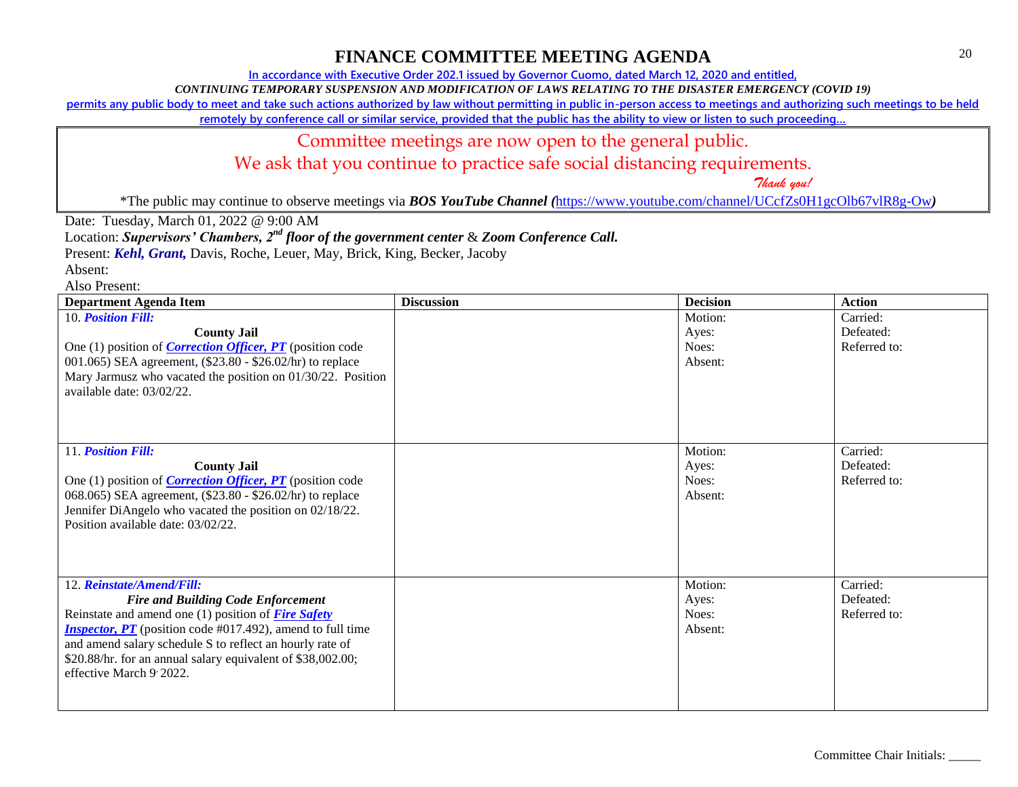**In accordance with Executive Order 202.1 issued by Governor Cuomo, dated March 12, 2020 and entitled,**

*CONTINUING TEMPORARY SUSPENSION AND MODIFICATION OF LAWS RELATING TO THE DISASTER EMERGENCY (COVID 19)*

**permits any public body to meet and take such actions authorized by law without permitting in public in-person access to meetings and authorizing such meetings to be held** 

**remotely by conference call or similar service, provided that the public has the ability to view or listen to such proceeding…**

### Committee meetings are now open to the general public.

We ask that you continue to practice safe social distancing requirements.

 *Thank you!*

\*The public may continue to observe meetings via *BOS YouTube Channel (*<https://www.youtube.com/channel/UCcfZs0H1gcOlb67vlR8g-Ow>*)*

Date: Tuesday, March 01, 2022 @ 9:00 AM

Location: *Supervisors' Chambers, 2nd floor of the government center* & *Zoom Conference Call.*

Present: *Kehl, Grant,* Davis, Roche, Leuer, May, Brick, King, Becker, Jacoby

Absent:

| <b>Department Agenda Item</b>                                            | <b>Discussion</b> | <b>Decision</b> | <b>Action</b>         |
|--------------------------------------------------------------------------|-------------------|-----------------|-----------------------|
| 10. Position Fill:<br><b>County Jail</b>                                 |                   | Motion:         | Carried:<br>Defeated: |
| One (1) position of <i>Correction Officer</i> , <i>PT</i> (position code |                   | Ayes:<br>Noes:  | Referred to:          |
| 001.065) SEA agreement, (\$23.80 - \$26.02/hr) to replace                |                   | Absent:         |                       |
| Mary Jarmusz who vacated the position on 01/30/22. Position              |                   |                 |                       |
| available date: 03/02/22.                                                |                   |                 |                       |
|                                                                          |                   |                 |                       |
|                                                                          |                   |                 |                       |
| 11. Position Fill:                                                       |                   | Motion:         | Carried:              |
| <b>County Jail</b>                                                       |                   | Ayes:           | Defeated:             |
| One (1) position of <i>Correction Officer</i> , <i>PT</i> (position code |                   | Noes:           | Referred to:          |
| 068.065) SEA agreement, (\$23.80 - \$26.02/hr) to replace                |                   | Absent:         |                       |
| Jennifer DiAngelo who vacated the position on 02/18/22.                  |                   |                 |                       |
| Position available date: 03/02/22.                                       |                   |                 |                       |
|                                                                          |                   |                 |                       |
|                                                                          |                   |                 |                       |
| 12. Reinstate/Amend/Fill:                                                |                   | Motion:         | Carried:              |
| <b>Fire and Building Code Enforcement</b>                                |                   | Ayes:           | Defeated:             |
| Reinstate and amend one $(1)$ position of <i>Fire Safety</i>             |                   | Noes:           | Referred to:          |
| <i>Inspector, PT</i> (position code #017.492), amend to full time        |                   | Absent:         |                       |
| and amend salary schedule S to reflect an hourly rate of                 |                   |                 |                       |
| \$20.88/hr. for an annual salary equivalent of \$38,002.00;              |                   |                 |                       |
| effective March 9' 2022.                                                 |                   |                 |                       |
|                                                                          |                   |                 |                       |
|                                                                          |                   |                 |                       |